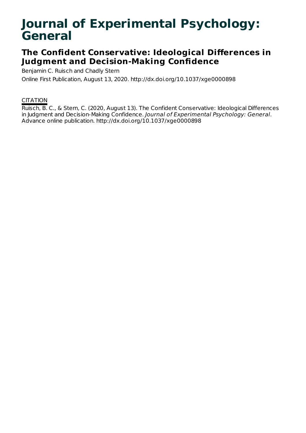# **Journal of Experimental Psychology: General**

## **The Confident Conservative: Ideological Differences in Judgment and Decision-Making Confidence**

Benjamin C. Ruisch and Chadly Stern

Online First Publication, August 13, 2020. http://dx.doi.org/10.1037/xge0000898

## **CITATION**

Ruisch, B. C., & Stern, C. (2020, August 13). The Confident Conservative: Ideological Differences in Judgment and Decision-Making Confidence. Journal of Experimental Psychology: General. Advance online publication. http://dx.doi.org/10.1037/xge0000898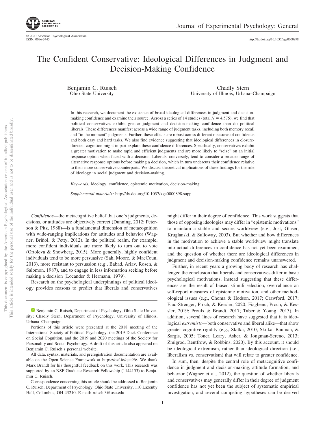http://dx.doi.org[/10.1037/xge0000898](http://dx.doi.org/10.1037/xge0000898)

## The Confident Conservative: Ideological Differences in Judgment and Decision-Making Confidence

Benjamin C. Ruisch Ohio State University

Chadly Stern University of Illinois, Urbana–Champaign

In this research, we document the existence of broad ideological differences in judgment and decisionmaking confidence and examine their source. Across a series of 14 studies (total  $N = 4,575$ ), we find that political conservatives exhibit greater judgment and decision-making confidence than do political liberals. These differences manifest across a wide range of judgment tasks, including both memory recall and "in the moment" judgments. Further, these effects are robust across different measures of confidence and both easy and hard tasks. We also find evidence suggesting that ideological differences in closuredirected cognition might in part explain these confidence differences. Specifically, conservatives exhibit a greater motivation to make rapid and efficient judgments and are more likely to "seize" on an initial response option when faced with a decision. Liberals, conversely, tend to consider a broader range of alternative response options before making a decision, which in turn undercuts their confidence relative to their more conservative counterparts. We discuss theoretical implications of these findings for the role of ideology in social judgment and decision-making.

*Keywords:* ideology, confidence, epistemic motivation, decision-making

*Supplemental materials:* http://dx.doi.org/10.1037/xge0000898.supp

*Confidence*—the metacognitive belief that one's judgments, decisions, or attitudes are objectively correct (Dunning, 2012; Peterson & Pitz, 1988)—is a fundamental dimension of metacognition with wide-ranging implications for attitudes and behavior (Wagner, Briñol, & Petty, 2012). In the political realm, for example, more confident individuals are more likely to turn out to vote (Ortoleva & Snowberg, 2015). More generally, highly confident individuals tend to be more persuasive (Sah, Moore, & MacCoun, 2013), more resistant to persuasion (e.g., [Babad, Ariav, Rosen, &](#page-16-0) [Salomon, 1987\)](#page-16-0), and to engage in less information seeking before making a decision (Locander & Hermann, 1979).

Research on the psychological underpinnings of political ideology provides reasons to predict that liberals and conservatives

might differ in their degree of confidence. This work suggests that those of opposing ideologies may differ in "epistemic motivations" to maintain a stable and secure worldview (e.g., Jost, Glaser, Kruglanski, & Sulloway, 2003). But whether and how differences in the motivation to achieve a stable worldview might translate into actual differences in confidence has not yet been examined, and the question of whether there are ideological differences in judgment and decision-making confidence remains unanswered.

Further, in recent years a growing body of research has challenged the conclusion that liberals and conservatives differ in basic psychological motivations, instead suggesting that these differences are the result of biased stimuli selection, overreliance on self-report measures of epistemic motivation, and other methodological issues (e.g., Choma & Hodson, 2017; Crawford, 2017; [Elad-Strenger, Proch, & Kessler, 2020;](#page-16-1) Fiagbenu, Proch, & Kessler, 2019; Proulx & Brandt, 2017; Taber & Young, 2013). In addition, several lines of research have suggested that it is ideological *extremists*— both conservative and liberal alike—that show greater cognitive rigidity (e.g., Skitka, 2010; Skitka, Bauman, & Sargis, 2005; Toner, Leary, Asher, & Jongman-Sereno, 2013; Zmigrod, Rentfrow, & Robbins, 2020). By this account, it should be ideological extremism, rather than ideological direction (i.e., liberalism vs. conservatism) that will relate to greater confidence.

In sum, then, despite the central role of metacognitive confidence in judgment and decision-making, attitude formation, and behavior (Wagner et al., 2012), the question of whether liberals and conservatives may generally differ in their degree of judgment confidence has not yet been the subject of systematic empirical investigation, and several competing hypotheses can be derived

**ID** [Benjamin C. Ruisch,](https://orcid.org/0000-0002-4087-1834) Department of Psychology, Ohio State University; Chadly Stern, Department of Psychology, University of Illinois, Urbana–Champaign.

Portions of this article were presented at the 2018 meeting of the International Society of Political Psychology, the 2019 Duck Conference on Social Cognition, and the 2019 and 2020 meetings of the Society for Personality and Social Psychology. A draft of this article also appeared on Benjamin C. Ruisch's personal website.

All data, syntax, materials, and preregistration documentation are available on the Open Science Framework at [https://osf.io/qea96/.](https://osf.io/qea96/) We thank Mark Brandt for his thoughtful feedback on this work. This research was supported by an NSF Graduate Research Fellowship (1144153) to Benjamin C. Ruisch.

Correspondence concerning this article should be addressed to Benjamin C. Ruisch, Department of Psychology, Ohio State University, 110 Lazenby Hall, Columbus, OH 43210. E-mail: [ruisch.3@osu.edu](mailto:ruisch.3@osu.edu)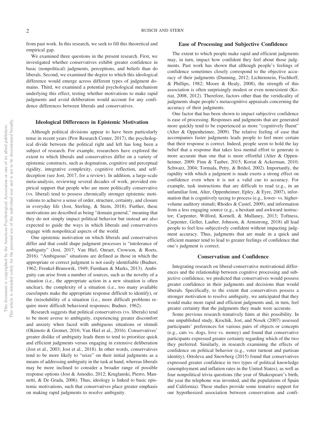from past work. In this research, we seek to fill this theoretical and empirical gap.

We examined three questions in the present research. First, we investigated whether conservatives exhibit greater confidence in basic (nonpolitical) judgments, perceptions, and beliefs than do liberals. Second, we examined the degree to which this ideological difference would emerge across different types of judgment domains. Third, we examined a potential psychological mechanism underlying this effect, testing whether motivations to make rapid judgments and avoid deliberation would account for any confidence differences between liberals and conservatives.

#### **Ideological Differences in Epistemic Motivation**

Although political divisions appear to have been particularly tense in recent years (Pew Research Center, 2017), the psychological divide between the political right and left has long been a subject of research. For example, researchers have explored the extent to which liberals and conservatives differ on a variety of epistemic constructs, such as dogmatism, cognitive and perceptual rigidity, integrative complexity, cognitive reflection, and selfdeception (see Jost, 2017, for a review). In addition, a large-scale meta-analysis, reviewing several decades of work, provided empirical support that people who are more politically conservative (vs. liberal) tend to possess chronically stronger epistemic motivations to achieve a sense of order, structure, certainty, and closure in everyday life (Jost, Sterling, & Stern, 2018). Further, these motivations are described as being "domain general," meaning that they do not simply impact political behavior but instead are also expected to guide the ways in which liberals and conservatives engage with nonpolitical aspects of the world.

One epistemic motivation on which liberals and conservatives differ and that could shape judgment processes is "intolerance of ambiguity" (Jost, 2017; Van Hiel, Onraet, Crowson, & Roets, 2016). "Ambiguous" situations are defined as those in which the appropriate or correct judgment is not easily identifiable [\(Budner,](#page-16-2) [1962;](#page-16-2) Frenkel-Brunswik, 1949; Furnham & Marks, 2013). Ambiguity can arise from a number of sources, such as the novelty of a situation (i.e., the appropriate action in a new situation is often unclear), the complexity of a situation (i.e., too many available cues/inputs make the appropriate response difficult to identify), or the (in)solubility of a situation (i.e., more difficult problems require more difficult behavioral responses; [Budner, 1962\)](#page-16-2).

Research suggests that political conservatives (vs. liberals) tend to be more averse to ambiguity, experiencing greater discomfort and anxiety when faced with ambiguous situations or stimuli (Okimoto & Gromet, 2016; Van Hiel et al., 2016). Conservatives' greater dislike of ambiguity leads them to tend to prioritize quick and efficient judgments versus engaging in extensive deliberation (Jost et al., 2003; Jost et al., 2018). In other words, conservatives tend to be more likely to "seize" on their initial judgments as a means of addressing ambiguity in the task at hand, whereas liberals may be more inclined to consider a broader range of possible response options (Jost & Amodio, 2012; Kruglanski, Pierro, Mannetti, & De Grada, 2006). Thus, ideology is linked to basic epistemic motivations, such that conservatives place greater emphasis on making rapid judgments to resolve ambiguity.

#### **Ease of Processing and Subjective Confidence**

The extent to which people make rapid and efficient judgments may, in turn, impact how confident they feel about those judgments. Past work has shown that although people's feelings of confidence sometimes closely correspond to the objective accuracy of their judgments (Dunning, 2012; Lichtenstein, Fischhoff, & Phillips, 1982; Moore & Healy, 2008), the strength of this association is often surprisingly modest or even nonexistent (Koriat, 2008, 2012). Therefore, factors other than the veridicality of judgments shape people's metacognitive appraisals concerning the accuracy of their judgments.

One factor that has been shown to impact subjective confidence is ease of processing. Responses and judgments that are generated more quickly tend to be experienced as more "cognitively fluent" (Alter & Oppenheimer, 2009). The relative feeling of ease that accompanies faster judgments leads people to feel more certain that their response is correct. Indeed, people seem to hold the lay belief that a response that takes less mental effort to generate is more accurate than one that is more effortful (Alter & Oppenheimer, 2009; Finn & Tauber, 2015; Koriat & Ackerman, 2010; Schwarz, 2004; Tormala, Petty, & Briñol, 2002). Importantly, the rapidity with which a judgment is made exerts a strong effect on confidence even when it is not a valid cue to accuracy. For example, task instructions that are difficult to read (e.g., in an unfamiliar font, [Alter, Oppenheimer, Epley, & Eyre, 2007\)](#page-16-3), information that is cognitively taxing to process (e.g., lower- vs. highervolume auditory stimuli; Rhodes & Castel, 2009), and information from a less engaging source (e.g., a hesitant and awkward instructor; Carpenter, Wilford, Kornell, & Mullaney, 2013; Toftness, Carpenter, Geller, Lauber, Johnson, & Armstrong, 2018) all lead people to feel less subjectively confident without impacting judgment accuracy. Thus, judgments that are made in a quick and efficient manner tend to lead to greater feelings of confidence that one's judgment is correct.

#### **Conservatism and Confidence**

Integrating research on liberal-conservative motivational differences and the relationship between cognitive processing and subjective confidence, we predicted that conservatives would possess greater confidence in their judgments and decisions than would liberals. Specifically, to the extent that conservatives possess a stronger motivation to resolve ambiguity, we anticipated that they would make more rapid and efficient judgments and, in turn, feel greater certainty that the judgments they made were accurate.

Some previous research tentatively hints at this possibility. In one unpublished study, Krochik, Jost, and Nosek (2007) assessed participants' preferences for various pairs of objects or concepts (e.g., cats vs. dogs, love vs. money) and found that conservative participants expressed greater certainty regarding which of the two they preferred. Similarly, in research examining the effects of confidence on political behavior (e.g., voter turnout and partisan identity), Ortoleva and Snowberg (2015) found that conservatives expressed greater confidence in two types of political knowledge (unemployment and inflation rates in the United States), as well as four nonpolitical trivia questions (the year of Shakespeare's birth, the year the telephone was invented, and the populations of Spain and California). These studies provide some tentative support for our hypothesized association between conservatism and confi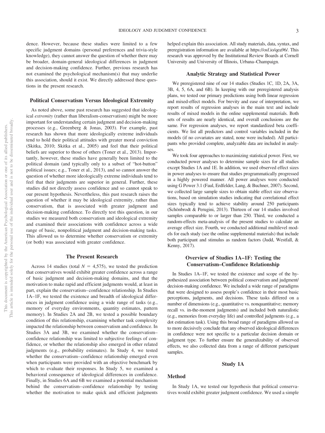dence. However, because these studies were limited to a few specific judgment domains (personal preferences and trivia-style knowledge), they cannot answer the question of whether there may be broader, domain-general ideological differences in judgment and decision-making confidence. Further, previous research has not examined the psychological mechanism(s) that may underlie this association, should it exist. We directly addressed these questions in the present research.

#### **Political Conservatism Versus Ideological Extremity**

As noted above, some past research has suggested that ideological *extremity* (rather than liberalism-conservatism) might be more important for understanding certain judgment and decision-making processes (e.g., Greenberg & Jonas, 2003). For example, past research has shown that more ideologically extreme individuals tend to hold their political attitudes with greater moral conviction (Skitka, 2010; Skitka et al., 2005) and feel that their political beliefs are superior to those of others (Toner et al., 2013). Importantly, however, these studies have generally been limited to the political domain (and typically only to a subset of "hot-button" political issues; e.g., Toner et al., 2013), and so cannot answer the question of whether more ideologically extreme individuals tend to feel that their judgments are superior in general. Further, these studies did not directly assess confidence and so cannot speak to our present hypothesis. Nevertheless, this past research raises the question of whether it may be ideological extremity, rather than conservatism, that is associated with greater judgment and decision-making confidence. To directly test this question, in our studies we measured both conservatism and ideological extremity and examined their associations with confidence across a wide range of basic, nonpolitical judgment and decision-making tasks. This allowed us to determine whether conservatism or extremity (or both) was associated with greater confidence.

#### **The Present Research**

Across 14 studies (total  $N = 4,575$ ), we tested the prediction that conservatives would exhibit greater confidence across a range of basic judgment and decision-making domains, and that the motivation to make rapid and efficient judgments would, at least in part, explain the conservatism– confidence relationship. In Studies 1A–1F, we tested the existence and breadth of ideological differences in judgment confidence using a wide range of tasks (e.g., memory of everyday environments, quantity estimates, pattern memory). In Studies 2A and 2B, we tested a possible boundary condition of this relationship, examining whether task complexity impacted the relationship between conservatism and confidence. In Studies 3A and 3B, we examined whether the conservatism– confidence relationship was limited to subjective feelings of confidence, or whether the relationship also emerged in other related judgments (e.g., probability estimates). In Study 4, we tested whether the conservatism– confidence relationship emerged even when participants were provided with an objective benchmark by which to evaluate their responses. In Study 5, we examined a behavioral consequence of ideological differences in confidence. Finally, in Studies 6A and 6B we examined a potential mechanism behind the conservatism– confidence relationship by testing whether the motivation to make quick and efficient judgments

helped explain this association. All study materials, data, syntax, and preregistration information are available at [https://osf.io/qea96/.](https://osf.io/qea96/) This research was approved by the Institutional Review Boards at Cornell University and University of Illinois, Urbana–Champaign.

#### **Analytic Strategy and Statistical Power**

We preregistered nine of our 14 studies (Studies 1C, 1D, 2A, 3A, 3B, 4, 5, 6A, and 6B). In keeping with our preregistered analysis plans, we tested our primary predictions using both linear regression and mixed-effect models. For brevity and ease of interpretation, we report results of regression analyses in the main text and include results of mixed models in the [online supplemental materials.](http://dx.doi.org/10.1037/xge0000898.supp) Both sets of results are nearly identical, and overall conclusions are the same. For regression analyses, we report standardized beta coefficients. We list all predictors and control variables included in the models (if no covariates are stated, none were included). All participants who provided complete, analyzable data are included in analyses.

We took four approaches to maximizing statistical power. First, we conducted power analyses to determine sample sizes for all studies except Studies 1A and 1E. In addition, we used observed effect sizes in power analyses to ensure that studies programmatically progressed in a highly powered manner. All power analyses were conducted using G Power 3.1 [\(Faul, Erdfelder, Lang, & Buchner, 2007\)](#page-16-4). Second, we collected large sample sizes to obtain stable effect size observations, based on simulation studies indicating that correlational effect sizes typically tend to achieve stability around 250 participants (Schönbrodt & Perugini, 2013). Thirteen of our 14 studies involved samples comparable to or larger than 250. Third, we conducted a random-effects meta-analysis of the present studies to calculate an average effect size. Fourth, we conducted additional multilevel models for each study (see the [online supplemental materials\)](http://dx.doi.org/10.1037/xge0000898.supp) that include both participant and stimulus as random factors (Judd, Westfall, & Kenny, 2017).

## **Overview of Studies 1A–1F: Testing the Conservatism–Confidence Relationship**

In Studies 1A–1F, we tested the existence and scope of the hypothesized association between political conservatism and judgment/ decision-making confidence. We included a wide range of paradigms that were designed to assess people's confidence in their most basic perceptions, judgments, and decisions. These tasks differed on a number of dimensions (e.g., quantitative vs. nonquantitative; memory recall vs. in-the-moment judgments) and included both naturalistic (e.g., memories from everyday life) and controlled judgments (e.g., a dot estimation task). Using this broad range of paradigms allowed us to more decisively conclude that any observed ideological differences in confidence were not specific to a particular decision domain or judgment type. To further ensure the generalizability of observed effects, we also collected data from a range of different participant samples.

#### **Study 1A**

#### **Method**

In Study 1A, we tested our hypothesis that political conservatives would exhibit greater judgment confidence. We used a simple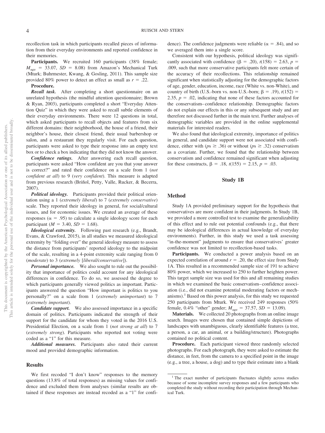recollection task in which participants recalled pieces of information from their everyday environments and reported confidence in their memories.

Participants. We recruited 160 participants (38% female;  $M_{\text{age}}$  = 33.07, *SD* = 8.08) from Amazon's Mechanical Turk (Mturk; Buhrmester, Kwang, & Gosling, 2011). This sample size provided 80% power to detect an effect as small as  $r = .22$ .

#### **Procedure.**

*Recall task.* After completing a short questionnaire on an unrelated hypothesis (the mindful attention questionnaire; [Brown](#page-16-5) [& Ryan, 2003\)](#page-16-5), participants completed a short "Everyday Attention Quiz" in which they were asked to recall subtle elements of their everyday environments. There were 12 questions in total, which asked participants to recall objects and features from six different domains: their neighborhood, the house of a friend, their neighbor's house, their closest friend, their usual barbershop or salon, and a restaurant they regularly visit. For each question, participants were asked to type their response into an empty text box or to check a box indicating that they did not know the answer.

*Confidence ratings.* After answering each recall question, participants were asked "How confident are you that your answer is correct?" and rated their confidence on a scale from 1 (*not confident at all*) to 9 (*very confident*). This measure is adapted from previous research [\(Briñol, Petty, Valle, Rucker, & Becerra,](#page-16-6) [2007\)](#page-16-6).

*Political ideology.* Participants provided their political orientation usinga1(*extremely liberal*) to 7 (*extremely conservative*) scale. They reported their ideology in general, for social/cultural issues, and for economic issues. We created an average of these responses ( $\alpha = .95$ ) to calculate a single ideology score for each participant ( $M = 3.40$ ,  $SD = 1.68$ ).

*Ideological extremity.* Following past research (e.g., Brandt, Evans, & Crawford, 2015), in all studies we measured ideological extremity by "folding over" the general ideology measure to assess the distance from participants' reported ideology to the midpoint of the scale, resulting in a 4-point extremity scale ranging from 0 (*moderate*) to 3 (*extremely* [*liberal/conservative*]).

*Personal importance.* We also sought to rule out the possibility that importance of politics could account for any ideological differences in confidence. To do so, we assessed the degree to which participants generally viewed politics as important. Participants answered the question "How important is politics to you personally?" on a scale from 1 (*extremely unimportant*) to 7 (*extremely important*).

*Candidate support.* We also assessed importance in a specific domain of politics. Participants indicated the strength of their support for the candidate for whom they voted in the 2016 U.S. Presidential Election, on a scale from 1 (*not strong at all*) to 7 (*extremely strong*). Participants who reported not voting were coded as a "1" for this measure.

*Additional measures.* Participants also rated their current mood and provided demographic information.

#### **Results**

We first recoded "I don't know" responses to the memory questions (13.8% of total responses) as missing values for confidence and excluded them from analyses (similar results are obtained if these responses are instead recoded as a "1" for confi-

dence). The confidence judgments were reliable ( $\alpha = .84$ ), and so we averaged them into a single score.

Consistent with our hypothesis, political ideology was significantly associated with confidence  $(\beta = .20)$ ,  $t(158) = 2.63$ ,  $p =$ .009, such that more conservative participants felt more certain of the accuracy of their recollections. This relationship remained significant when statistically adjusting for the demographic factors of age, gender, education, income, race (White vs. non-White), and country of birth (U.S.-born vs. non-U.S.-born;  $\beta = .19$ ),  $t(152) =$ 2.35,  $p = 0.02$ , indicating that none of these factors accounted for the conservatism– confidence relationship. Demographic factors do not explain our effects in this or any subsequent study and are therefore not discussed further in the main text. Further analyses of demographic variables are provided in the [online supplemental](http://dx.doi.org/10.1037/xge0000898.supp) [materials](http://dx.doi.org/10.1037/xge0000898.supp) for interested readers.

We also found that ideological extremity, importance of politics in general, and candidate support were not associated with confidence, either with ( $ps \geq .36$ ) or without ( $ps \geq .32$ ) conservatism as a covariate. Further, we found that the relationship between conservatism and confidence remained significant when adjusting for these constructs,  $\beta = .18$ ,  $t(155) = 2.15$ ,  $p = .03$ .

#### **Study 1B**

#### **Method**

Study 1A provided preliminary support for the hypothesis that conservatives are more confident in their judgments. In Study 1B, we provided a more controlled test to examine the generalizability of this effect and to rule out potential confounds (e.g., that there may be ideological differences in actual knowledge of everyday environments). Further, in this study we used a task assessing "in-the-moment" judgments to ensure that conservatives' greater confidence was not limited to recollection-based tasks.

Participants. We conducted a power analysis based on an expected correlation of around  $r = .20$ , the effect size from Study 1A. This resulted in a recommended sample size of 191 to achieve 80% power, which we increased to 250 to further heighten power. This target sample size was used for this and all remaining studies in which we examined the basic conservatism– confidence association (i.e., did not examine potential moderating factors or mechanisms). $<sup>1</sup>$  Based on this power analysis, for this study we requested</sup> 250 participants from Mturk. We received 249 responses (50% female,  $0.4\%$  "other" gender;  $M_{\text{age}} = 37.57$ ,  $SD = 13.09$ ).

**Materials.** We collected 20 photographs from an online image search. Images were chosen that contained simple depictions of landscapes with unambiguous, clearly identifiable features (a tree, a person, a car, an animal, or a building/structure). Photographs contained no political content.

**Procedure.** Each participant viewed three randomly selected photographs. For each photograph, they were asked to estimate the distance, in feet, from the camera to a specified point in the image (e.g., a tree, a house, a dog) and to type their estimate into a blank

<sup>&</sup>lt;sup>1</sup> The exact number of participants fluctuates slightly across studies because of some incomplete survey responses and a few participants who completed the study without recording their participation through Mechanical Turk.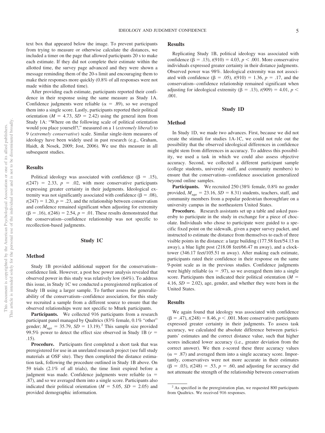text box that appeared below the image. To prevent participants from trying to measure or otherwise calculate the distances, we included a timer on the page that allowed participants 20 s to make each estimate. If they did not complete their estimate within the allotted time, the survey page advanced and they were shown a message reminding them of the 20-s limit and encouraging them to make their responses more quickly (0.8% of all responses were not made within the allotted time).

After providing each estimate, participants reported their confidence in their response using the same measure as Study 1A. Confidence judgments were reliable ( $\alpha = .89$ ), so we averaged them into a single score. Lastly, participants reported their political orientation ( $M = 4.73$ ,  $SD = 2.42$ ) using the general item from Study 1A: "Where on the following scale of political orientation would you place yourself?," measured ona1(*extremely liberal*) to 9 (*extremely conservative*) scale. Similar single-item measures of ideology have been widely used in past research (e.g., Graham, Haidt, & Nosek, 2009; Jost, 2006). We use this measure in all subsequent studies.

#### **Results**

Political ideology was associated with confidence ( $\beta = .15$ ),  $t(247) = 2.33$ ,  $p = .02$ , with more conservative participants expressing greater certainty in their judgments. Ideological extremity was not significantly associated with confidence ( $\beta = .08$ ),  $t(247) = 1.20, p = .23$ , and the relationship between conservatism and confidence remained significant when adjusting for extremity  $(\beta = .16)$ ,  $t(246) = 2.54$ ,  $p = .01$ . These results demonstrated that the conservatism– confidence relationship was not specific to recollection-based judgments.

## **Study 1C**

#### **Method**

Study 1B provided additional support for the conservatism– confidence link. However, a post hoc power analysis revealed that observed power in this study was relatively low (64%). To address this issue, in Study 1C we conducted a preregistered replication of Study 1B using a larger sample. To further assess the generalizability of the conservatism– confidence association, for this study we recruited a sample from a different source to ensure that the observed relationships were not specific to Mturk participants.

Participants. We collected 916 participants from a research participant panel managed by Qualtrics (83% female, 0.1% "other" gender;  $M_{\text{age}} = 35.79$ ,  $SD = 13.19$ .<sup>2</sup> This sample size provided 99.5% power to detect the effect size observed in Study 1B ( $r =$ .15).

**Procedure.** Participants first completed a short task that was preregistered for use in an unrelated research project (see full study materials at OSF site). They then completed the distance estimation task, following the procedure outlined in Study 1B above. On 59 trials (2.1% of all trials), the time limit expired before a judgment was made. Confidence judgments were reliable ( $\alpha$  = .87), and so we averaged them into a single score. Participants also indicated their political orientation ( $M = 5.05$ ,  $SD = 2.05$ ) and provided demographic information.

## **Results**

Replicating Study 1B, political ideology was associated with confidence ( $\beta = .13$ ),  $t(910) = 4.03$ ,  $p < .001$ . More conservative individuals expressed greater certainty in their distance judgments. Observed power was 98%. Ideological extremity was not associated with confidence ( $\beta = .05$ ),  $t(910) = 1.36$ ,  $p = .17$ , and the conservatism– confidence relationship remained significant when adjusting for ideological extremity ( $\beta$  = .13),  $t(909)$  = 4.01,  $p$  < .001.

## **Study 1D**

#### **Method**

In Study 1D, we made two advances. First, because we did not create the stimuli for studies 1A-1C, we could not rule out the possibility that the observed ideological differences in confidence might stem from differences in accuracy. To address this possibility, we used a task in which we could also assess objective accuracy. Second, we collected a different participant sample (college students, university staff, and community members) to ensure that the conservatism– confidence association generalized beyond online samples.

Participants. We recruited 250 (38% female, 0.8% no gender provided,  $M_{\text{age}} = 23.16$ ,  $SD = 8.31$ ) students, teachers, staff, and community members from a popular pedestrian thoroughfare on a university campus in the northeastern United States.

**Procedure.** Research assistants set up a table and asked passersby to participate in the study in exchange for a piece of chocolate. Individuals who chose to participate were guided to a specific fixed point on the sidewalk, given a paper survey packet, and instructed to estimate the distance from themselves to each of three visible points in the distance: a large building (177.58 feet/54.13 m away), a blue light post (218.08 feet/66.47 m away), and a clocktower (346.17 feet/105.51 m away). After making each estimate, participants rated their confidence in their response on the same 9-point scale as in the previous studies. Confidence judgments were highly reliable ( $\alpha = .97$ ), so we averaged them into a single score. Participants then indicated their political orientation  $(M =$  $4.16, SD = 2.02$ , age, gender, and whether they were born in the United States.

#### **Results**

We again found that ideology was associated with confidence  $(\beta = .47), t(248) = 8.46, p < .001$ . More conservative participants expressed greater certainty in their judgments. To assess task accuracy, we calculated the absolute difference between participants' estimates and the correct distance value, such that higher scores indicated lower accuracy (i.e., greater deviation from the correct answer). We then z-scored these three accuracy values  $(\alpha = .87)$  and averaged them into a single accuracy score. Importantly, conservatives were not more accurate in their estimates  $(\beta = .03)$ ,  $t(248) = .53$ ,  $p = .60$ , and adjusting for accuracy did not attenuate the strength of the relationship between conservatism

<sup>&</sup>lt;sup>2</sup> As specified in the preregistration plan, we requested 800 participants from Qualtrics. We received 916 responses.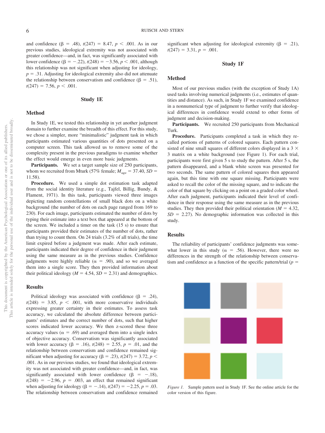and confidence  $(\beta = .48)$ ,  $t(247) = 8.47$ ,  $p < .001$ . As in our previous studies, ideological extremity was not associated with greater confidence—and, in fact, was significantly associated with lower confidence ( $\beta = -.22$ ),  $t(248) = -3.56$ ,  $p < .001$ , although this relationship was not significant when adjusting for ideology,  $p = .31$ . Adjusting for ideological extremity also did not attenuate the relationship between conservatism and confidence ( $\beta = .51$ ),  $t(247) = 7.56, p < .001.$ 

## **Study 1E**

## **Method**

In Study 1E, we tested this relationship in yet another judgment domain to further examine the breadth of this effect. For this study, we chose a simpler, more "minimalistic" judgment task in which participants estimated various quantities of dots presented on a computer screen. This task allowed us to remove some of the complexity present in the previous paradigms to examine whether the effect would emerge in even more basic judgments.

Participants. We set a target sample size of 250 participants, whom we recruited from Mturk (57% female;  $M_{\text{age}} = 37.40$ ,  $SD =$ 11.58).

**Procedure.** We used a simple dot estimation task adapted from the social identity literature (e.g., Tajfel, Billig, Bundy, & Flament, 1971). In this task, participants viewed three images depicting random constellations of small black dots on a white background (the number of dots on each page ranged from 169 to 230). For each image, participants estimated the number of dots by typing their estimate into a text box that appeared at the bottom of the screen. We included a timer on the task (15 s) to ensure that participants provided their estimates of the number of dots, rather than trying to count them. On 24 trials (3.2% of all trials), the time limit expired before a judgment was made. After each estimate, participants indicated their degree of confidence in their judgment using the same measure as in the previous studies. Confidence judgments were highly reliable ( $\alpha = .90$ ), and so we averaged them into a single score. They then provided information about their political ideology ( $M = 4.54$ ,  $SD = 2.31$ ) and demographics.

#### **Results**

Political ideology was associated with confidence ( $\beta = .24$ ),  $t(248) = 3.85$ ,  $p < .001$ , with more conservative individuals expressing greater certainty in their estimates. To assess task accuracy, we calculated the absolute difference between participants' estimates and the correct number of dots, such that higher scores indicated lower accuracy. We then z-scored these three accuracy values ( $\alpha = .69$ ) and averaged them into a single index of objective accuracy. Conservatism was significantly associated with lower accuracy ( $\beta = .16$ ),  $t(248) = 2.55$ ,  $p = .01$ , and the relationship between conservatism and confidence remained sigmificant when adjusting for accuracy ( $\beta = .23$ ),  $t(247) = 3.72$ ,  $p <$ .001. As in our previous studies, we found that ideological extremity was not associated with greater confidence—and, in fact, was significantly associated with lower confidence ( $\beta = -.18$ ),  $t(248) = -2.96$ ,  $p = .003$ , an effect that remained significant when adjusting for ideology ( $\beta = -.14$ ),  $t(247) = -2.25$ ,  $p = .03$ . The relationship between conservatism and confidence remained significant when adjusting for ideological extremity ( $\beta = .21$ ),  $t(247) = 3.31, p = .001.$ 

#### **Study 1F**

#### **Method**

Most of our previous studies (with the exception of Study 1A) used tasks involving numerical judgments (i.e., estimates of quantities and distance). As such, in Study 1F we examined confidence in a nonnumerical type of judgment to further verify that ideological differences in confidence would extend to other forms of judgment and decision-making.

Participants. We recruited 250 participants from Mechanical Turk.

**Procedure.** Participants completed a task in which they recalled portions of patterns of colored squares. Each pattern consisted of nine small squares of different colors displayed in a 3  $\times$ 3 matrix on a white background (see Figure 1). For each trial, participants were first given 5 s to study the pattern. After 5 s, the pattern disappeared, and a blank white screen was presented for two seconds. The same pattern of colored squares then appeared again, but this time with one square missing. Participants were asked to recall the color of the missing square, and to indicate the color of that square by clicking on a point on a graded color wheel. After each judgment, participants indicated their level of confidence in their response using the same measure as in the previous studies. They then provided their political orientation ( $M = 4.32$ ,  $SD = 2.27$ ). No demographic information was collected in this study.

#### **Results**

The reliability of participants' confidence judgments was somewhat lower in this study ( $\alpha = .56$ ). However, there were no differences in the strength of the relationship between conservatism and confidence as a function of the specific pattern/trial  $(p =$ 



*Figure 1.* Sample pattern used in Study 1F. See the online article for the color version of this figure.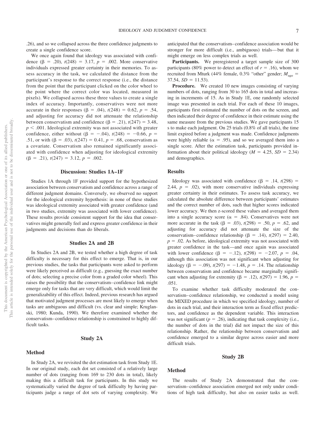.26), and so we collapsed across the three confidence judgments to create a single confidence score.

We once again found that ideology was associated with confidence  $(\beta = .20)$ ,  $t(248) = 3.17$ ,  $p = .002$ . More conservative individuals expressed greater certainty in their memories. To assess accuracy in the task, we calculated the distance from the participant's response to the correct response (i.e., the distance from the point that the participant clicked on the color wheel to the point where the correct color was located, measured in pixels). We collapsed across these three values to create a single index of accuracy. Importantly, conservatives were not more accurate in their responses ( $\beta = .04$ ),  $t(248) = 0.62$ ,  $p = .54$ , and adjusting for accuracy did not attenuate the relationship between conservatism and confidence  $(\beta = .21)$ ,  $t(247) = 3.48$ ,  $p < .001$ . Ideological extremity was not associated with greater confidence, either without  $(\beta = -.04)$ ,  $t(248) = -0.66$ ,  $p =$ .51, or with  $(\beta = .03)$ ,  $t(247) = 0.41$ ,  $p = .68$ , conservatism as a covariate. Conservatism also remained significantly associated with confidence when adjusting for ideological extremity  $(\beta = .21), t(247) = 3.12, p = .002.$ 

#### **Discussion: Studies 1A–1F**

Studies 1A through 1F provided support for the hypothesized association between conservatism and confidence across a range of different judgment domains. Conversely, we observed no support for the ideological extremity hypothesis: in none of these studies was ideological extremity associated with greater confidence (and in two studies, extremity was associated with lower confidence). These results provide consistent support for the idea that conservatives might generally feel and express greater confidence in their judgments and decisions than do liberals.

#### **Studies 2A and 2B**

In Studies 2A and 2B, we tested whether a high degree of task difficulty is necessary for this effect to emerge. That is, in our previous studies, the tasks that participants were asked to perform were likely perceived as difficult (e.g., guessing the exact number of dots; selecting a precise color from a graded color wheel). This raises the possibility that the conservatism– confidence link might emerge only for tasks that are very difficult, which would limit the generalizability of this effect. Indeed, previous research has argued that motivated judgment processes are most likely to emerge when tasks are ambiguous and difficult (vs. clear and simple; Kruglanski, 1980; Kunda, 1990). We therefore examined whether the conservatism– confidence relationship is constrained to highly difficult tasks.

#### **Study 2A**

#### **Method**

In Study 2A, we revisited the dot estimation task from Study 1E. In our original study, each dot set consisted of a relatively large number of dots (ranging from 169 to 230 dots in total), likely making this a difficult task for participants. In this study we systematically varied the degree of task difficulty by having participants judge a range of dot sets of varying complexity. We anticipated that the conservatism– confidence association would be stronger for more difficult (i.e., ambiguous) trials— but that it might emerge on less complex trials as well.

**Participants.** We preregistered a target sample size of 300 participants (80% power to detect an effect of  $r = .16$ ), whom we recruited from Mturk (44% female, 0.3% "other" gender;  $M_{\text{age}} =$  $37.54, SD = 11.53$ .

**Procedure.** We created 10 new images consisting of varying numbers of dots, ranging from 30 to 165 dots in total and increasing in increments of 15. As in Study 1E, one randomly selected image was presented in each trial. For each of these 10 images, participants first estimated the number of dots on the screen, and then indicated their degree of confidence in their estimate using the same measure from the previous studies. We gave participants 15 s to make each judgment. On 25 trials (0.8% of all trials), the time limit expired before a judgment was made. Confidence judgments were highly reliable ( $\alpha = .95$ ), and so we averaged them into a single score. After the estimation task, participants provided information about their political ideology ( $M = 4.25$ ,  $SD = 2.34$ ) and demographics.

#### **Results**

Ideology was associated with confidence  $(\beta = .14, t(298))$  = 2.44,  $p = .02$ ), with more conservative individuals expressing greater certainty in their estimates. To assess task accuracy, we calculated the absolute difference between participants' estimates and the correct number of dots, such that higher scores indicated lower accuracy. We then z-scored these values and averaged them into a single accuracy score ( $\alpha = .84$ ). Conservatives were not more accurate in the task  $(\beta = .03)$ ,  $t(298) = .50$ ,  $p = .62$ , and adjusting for accuracy did not attenuate the size of the conservatism–confidence relationship  $(\beta = .14)$ ,  $t(297) = 2.40$ ,  $p = 0.02$ . As before, ideological extremity was not associated with greater confidence in the task—and once again was associated with lower confidence  $(\beta = -.12)$ ,  $t(298) = -2.07$ ,  $p = .04$ , although this association was not significant when adjusting for ideology ( $\beta = -.09$ ),  $t(297) = -1.48$ ,  $p = .14$ . The relationship between conservatism and confidence became marginally significant when adjusting for extremity  $(\beta = .12)$ ,  $t(297) = 1.96$ ,  $p =$ .051.

To examine whether task difficulty moderated the conservatism– confidence relationship, we conducted a model using the MIXED procedure in which we specified ideology, number of dots in each trial, and their interaction term as fixed effect predictors, and confidence as the dependent variable. This interaction was not significant ( $p = .26$ ), indicating that task complexity (i.e., the number of dots in the trial) did not impact the size of this relationship. Rather, the relationship between conservatism and confidence emerged to a similar degree across easier and more difficult trials.

## **Study 2B**

#### **Method**

The results of Study 2A demonstrated that the conservatism– confidence association emerged not only under conditions of high task difficulty, but also on easier tasks as well.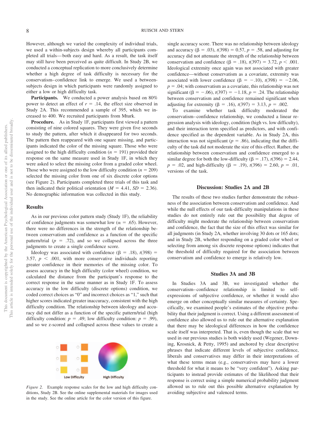However, although we varied the complexity of individual trials, we used a within-subjects design whereby all participants completed all trials— both easy and hard. As a result, the task itself may still have been perceived as quite difficult. In Study 2B, we conducted a conceptual replication to more conclusively determine whether a high degree of task difficulty is necessary for the conservatism– confidence link to emerge. We used a betweensubjects design in which participants were randomly assigned to either a low or high difficulty task.

Participants. We conducted a power analysis based on 80% power to detect an effect of  $r = .14$ , the effect size observed in Study 2A. This recommended a sample of 395, which we increased to 400. We recruited participants from Mturk.

**Procedure.** As in Study 1F, participants first viewed a pattern consisting of nine colored squares. They were given five seconds to study the pattern, after which it disappeared for two seconds. The pattern then reappeared with one square missing, and participants indicated the color of the missing square. Those who were assigned to the high difficulty condition  $(n = 191)$  provided their response on the same measure used in Study 1F, in which they were asked to select the missing color from a graded color wheel. Those who were assigned to the low difficulty condition  $(n = 209)$ selected the missing color from one of six discrete color options (see Figure 2). Participants completed three trials of this task and then indicated their political orientation ( $M = 4.41$ ,  $SD = 2.36$ ). No demographic information was collected in this study.

#### **Results**

As in our previous color pattern study (Study 1F), the reliability of confidence judgments was somewhat low ( $\alpha = .65$ ). However, there were no differences in the strength of the relationship between conservatism and confidence as a function of the specific pattern/trial  $(p = .72)$ , and so we collapsed across the three judgments to create a single confidence score.

Ideology was associated with confidence  $(\beta = .18)$ ,  $t(398) =$ 3.57,  $p \leq 0.001$ , with more conservative individuals reporting greater confidence in their memories of the missing color. To assess accuracy in the high difficulty (color wheel) condition, we calculated the distance from the participant's response to the correct response in the same manner as in Study 1F. To assess accuracy in the low difficulty (discrete options) condition, we coded correct choices as "0" and incorrect choices as "1," such that higher scores indicated greater inaccuracy, consistent with the high difficulty condition. The relationship between ideology and accuracy did not differ as a function of the specific pattern/trial (high difficulty condition:  $p = .49$ ; low difficulty condition:  $p = .99$ ), and so we z-scored and collapsed across these values to create a



*Figure 2.* Example response scales for the low and high difficulty conditions, Study 2B. See the [online supplemental materials](http://dx.doi.org/10.1037/xge0000898.supp) for images used in the study. See the online article for the color version of this figure.

single accuracy score. There was no relationship between ideology and accuracy ( $\beta = .03$ ),  $t(398) = 0.57$ ,  $p = .58$ , and adjusting for accuracy did not attenuate the strength of the relationship between conservatism and confidence  $(\beta = .18)$ ,  $t(397) = 3.72$ ,  $p < .001$ . Ideological extremity once again was not associated with greater confidence—without conservatism as a covariate, extremity was associated with lower confidence  $(\beta = -.10)$ ,  $t(398) = -2.06$ ,  $p = 0.04$ ; with conservatism as a covariate, this relationship was not significant ( $\beta = -.06$ ),  $t(397) = -1.18$ ,  $p = .24$ . The relationship between conservatism and confidence remained significant when adjusting for extremity ( $\beta = .16$ ),  $t(397) = 3.13$ ,  $p = .002$ .

To examine whether task difficulty moderated the conservatism– confidence relationship, we conducted a linear regression analysis with ideology, condition (high vs. low difficulty), and their interaction term specified as predictors, and with confidence specified as the dependent variable. As in Study 2A, this interaction was not significant ( $p = .86$ ), indicating that the difficulty of the task did not moderate the size of this effect. Rather, the relationship between conservatism and confidence emerged to a similar degree for both the low-difficulty ( $\beta$  = .17), *t*(396) = 2.44,  $p = .02$ , and high-difficulty ( $\beta = .19$ ),  $t(396) = 2.60$ ,  $p = .01$ , versions of the task.

#### **Discussion: Studies 2A and 2B**

The results of these two studies further demonstrate the robustness of the association between conservatism and confidence. And while the null effects of our task-difficulty manipulations in these studies do not entirely rule out the possibility that degree of difficulty might moderate the relationship between conservatism and confidence, the fact that the size of this effect was similar for all judgments (in Study 2A, whether involving 30 dots or 165 dots; and in Study 2B, whether responding on a graded color wheel or selecting from among six discrete response options) indicates that the threshold of difficulty required for the association between conservatism and confidence to emerge is relatively low.

#### **Studies 3A and 3B**

In Studies 3A and 3B, we investigated whether the conservatism– confidence relationship is limited to selfexpressions of subjective confidence, or whether it would also emerge on other conceptually similar measures of certainty. Specifically, we examined people's estimates of the objective probability that their judgment is correct. Using a different assessment of confidence also allowed us to rule out the alternative explanation that there may be ideological differences in how the confidence scale itself was interpreted. That is, even though the scale that we used in our previous studies is both widely used (Wegener, Downing, Krosnick, & Petty, 1995) and anchored by clear descriptive phrases that indicate different levels of subjective confidence, liberals and conservatives may differ in their interpretations of what these terms mean (e.g., conservatives may have a lower threshold for what it means to be "very confident"). Asking participants to instead provide estimates of the likelihood that their response is correct using a simple numerical probability judgment allowed us to rule out this possible alternative explanation by avoiding subjective and valenced terms.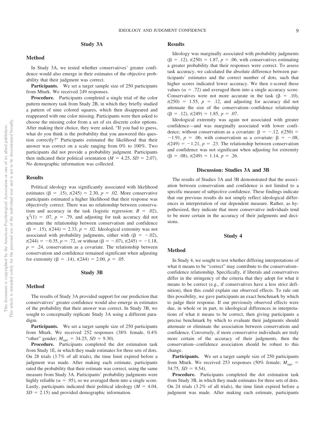## **Study 3A**

#### **Method**

In Study 3A, we tested whether conservatives' greater confidence would also emerge in their estimates of the objective probability that their judgment was correct.

Participants. We set a target sample size of 250 participants from Mturk. We received 249 responses.

**Procedure.** Participants completed a single trial of the color pattern memory task from Study 2B, in which they briefly studied a pattern of nine colored squares, which then disappeared and reappeared with one color missing. Participants were then asked to choose the missing color from a set of six discrete color options. After making their choice, they were asked, "If you had to guess, what do you think is the probability that you answered this question correctly?" Participants estimated the likelihood that their answer was correct on a scale ranging from 0% to 100%. Two participants did not provide a probability judgment. Participants then indicated their political orientation ( $M = 4.25$ ,  $SD = 2.07$ ). No demographic information was collected.

#### **Results**

Political ideology was significantly associated with likelihood estimates ( $\beta = .15$ ),  $t(245) = 2.30$ ,  $p = .02$ . More conservative participants estimated a higher likelihood that their response was objectively correct. There was no relationship between conservatism and accuracy in the task (logistic regression:  $B = .02$ ),  $\chi^2(1) = .07$ ,  $p = .79$ , and adjusting for task accuracy did not attenuate the relationship between conservatism and confidence  $(\beta = .15)$ ,  $t(244) = 2.33$ ,  $p = .02$ . Ideological extremity was not associated with probability judgments, either with  $(\beta = -.02)$ ,  $t(244) = -0.35, p = .72$ , or without  $(\beta = -.07)$ ,  $t(245) = -1.18$ ,  $p = .24$ , conservatism as a covariate. The relationship between conservatism and confidence remained significant when adjusting for extremity ( $\beta = .14$ ),  $t(244) = 2.00$ ,  $p = .05$ .

#### **Study 3B**

#### **Method**

The results of Study 3A provided support for our prediction that conservatives' greater confidence would also emerge in estimates of the probability that their answer was correct. In Study 3B, we sought to conceptually replicate Study 3A using a different paradigm.

Participants. We set a target sample size of 250 participants from Mturk. We received 252 responses (38% female, 0.4% "other" gender;  $M_{\text{age}} = 34.25$ ,  $SD = 9.30$ ).

**Procedure.** Participants completed the dot estimation task from Study 1E, in which they made estimates for three sets of dots. On 28 trials (3.7% of all trials), the time limit expired before a judgment was made. After making each estimate, participants rated the probability that their estimate was correct, using the same measure from Study 3A. Participants' probability judgments were highly reliable ( $\alpha = .95$ ), so we averaged them into a single score. Lastly, participants indicated their political ideology  $(M = 4.04,$  $SD = 2.15$ ) and provided demographic information.

## **Results**

Ideology was marginally associated with probability judgments  $(\beta = .12), t(250) = 1.87, p = .06$ , with conservatives estimating a greater probability that their responses were correct. To assess task accuracy, we calculated the absolute difference between participants' estimates and the correct number of dots, such that higher scores indicated lower accuracy. We then z-scored these values ( $\alpha$  = .72) and averaged them into a single accuracy score. Conservatives were not more accurate in the task  $(\beta = .10)$ ,  $t(250) = 1.55$ ,  $p = .12$ , and adjusting for accuracy did not attenuate the size of the conservatism– confidence relationship  $(\beta = .12), t(249) = 1.85, p = .07.$ 

Ideological extremity was again not associated with greater confidence—and was marginally associated with lower confidence; without conservatism as a covariate:  $\beta = -.12, t(250) =$  $-1.91$ ,  $p = .06$ ; with conservatism as a covariate:  $\beta = -.08$ ,  $t(249) = -1.21$ ,  $p = .23$ . The relationship between conservatism and confidence was not significant when adjusting for extremity  $(\beta = .08), t(249) = 1.14, p = .26.$ 

#### **Discussion: Studies 3A and 3B**

The results of Studies 3A and 3B demonstrated that the association between conservatism and confidence is not limited to a specific measure of subjective confidence. These findings indicate that our previous results do not simply reflect ideological differences in interpretation of our dependent measure. Rather, as hypothesized, they indicate that more conservative individuals tend to be more certain in the accuracy of their judgments and decisions.

#### **Study 4**

#### **Method**

In Study 4, we sought to test whether differing interpretations of what it means to be "correct" may contribute to the conservatism– confidence relationship. Specifically, if liberals and conservatives differ in the stringency of the criteria that they adopt for what it means to be correct (e.g., if conservatives have a less strict definition), then this could explain our observed effects. To rule out this possibility, we gave participants an exact benchmark by which to judge their response. If our previously observed effects were due, in whole or in part, to ideological differences in interpretations of what it means to be correct, then giving participants a precise benchmark by which to evaluate their judgments should attenuate or eliminate the association between conservatism and confidence. Conversely, if more conservative individuals are truly more certain of the accuracy of their judgments, then the conservatism– confidence association should be robust to this change.

**Participants.** We set a target sample size of 250 participants from Mturk. We received 253 responses (50% female;  $M_{\text{age}} =$  $34.75, SD = 9.54$ .

**Procedure.** Participants completed the dot estimation task from Study 3B, in which they made estimates for three sets of dots. On 24 trials (3.2% of all trials), the time limit expired before a judgment was made. After making each estimate, participants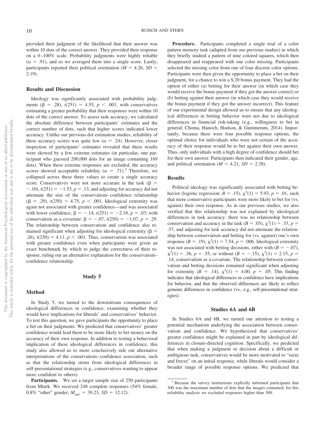provided their judgment of the likelihood that their answer was within 10 dots of the correct answer. They provided their response on a 0-100% scale. Probability judgments were highly reliable  $(\alpha = .91)$ , and so we averaged them into a single score. Lastly, participants reported their political orientation ( $M = 4.26$ ,  $SD =$ 2.19).

#### **Results and Discussion**

Ideology was significantly associated with probability judgments ( $\beta$  = .28),  $t(251)$  = 4.55,  $p < .001$ , with conservatives estimating a greater probability that their responses were within 10 dots of the correct answer. To assess task accuracy, we calculated the absolute difference between participants' estimates and the correct number of dots, such that higher scores indicated lower accuracy. Unlike our previous dot estimation studies, reliability of these accuracy scores was quite low ( $\alpha = .24$ ). However, closer inspection of participants' estimates revealed that these results were skewed by a few extreme estimates (in particular, one participant who guessed 200,000 dots for an image containing 169 dots). When these extreme responses are excluded, the accuracy scores showed acceptable reliability ( $\alpha = .71$ ).<sup>3</sup> Therefore, we collapsed across these three values to create a single accuracy score. Conservatives were not more accurate in the task  $(\beta =$  $-10$ ,  $t(251) = -1.53$ ,  $p = 0.13$ , and adjusting for accuracy did not attenuate the size of the conservatism– confidence relationship  $(\beta = .29), t(250) = 4.75, p < .001$ . Ideological extremity was again not associated with greater confidence—and was associated with lower confidence,  $\beta = -.14$ ,  $t(251) = -2.18$ ,  $p = .03$ ; with conservatism as a covariate:  $\beta = -.07$ ,  $t(250) = -1.07$ ,  $p = .29$ . The relationship between conservatism and confidence also remained significant when adjusting for ideological extremity ( $\beta$  = .26),  $t(250) = 4.11$ ,  $p < .001$ . Thus, conservatism was associated with greater confidence even when participants were given an exact benchmark by which to judge the correctness of their response, ruling out an alternative explanation for the conservatism– confidence relationship.

#### **Study 5**

#### **Method**

In Study 5, we turned to the downstream consequences of ideological differences in confidence, examining whether they would have implications for liberals' and conservatives' behavior. To test this question, we gave participants the opportunity to place a bet on their judgments. We predicted that conservatives' greater confidence would lead them to be more likely to bet money on the accuracy of their own response. In addition to testing a behavioral implication of these ideological differences in confidence, this study also allowed us to more conclusively rule out alternative interpretations of the conservatism– confidence association, such as that the relationship stems from ideological differences in self-presentational strategies (e.g., conservatives wanting to appear more confident to others).

Participants. We set a target sample size of 250 participants from Mturk. We received 248 complete responses (54% female, 0.8% "other" gender;  $M_{\text{age}} = 39.23$ ,  $SD = 12.12$ ).

**Procedure.** Participants completed a single trial of a color pattern memory task (adapted from our previous studies) in which they briefly studied a pattern of nine colored squares, which then disappeared and reappeared with one color missing. Participants selected the missing color from one of four discrete color options. Participants were then given the opportunity to place a bet on their judgment, for a chance to win a \$.20 bonus payment. They had the option of either (a) betting for their answer (in which case they would receive the bonus payment if they got the answer correct) or (b) betting against their answer (in which case they would receive the bonus payment if they got the answer incorrect). This feature of our experimental design allowed us to ensure that any ideological differences in betting behavior were not due to ideological differences in financial risk-taking (e.g., willingness to bet in general; Choma, Hanoch, Hodson, & Gummerum, 2014). Importantly, because there were four possible response options, the optimal choice for individuals who were not certain of the accuracy of their response would be to bet against their own answer. Thus, only individuals with a high degree of confidence should bet for their own answer. Participants then indicated their gender, age, and political orientation ( $M = 4.21$ ,  $SD = 2.38$ ).

#### **Results**

Political ideology was significantly associated with betting behavior (logistic regression: *B* = .15),  $\chi^2(1) = 5.93$ , *p* = .01, such that more conservative participants were more likely to bet for (vs. against) their own response. As in our previous studies, we also verified that this relationship was not explained by ideological differences in task accuracy: there was no relationship between conservatism and accuracy in the task  $(B = .03)$ ,  $\chi^2(1) = .33$ ,  $p =$ .57, and adjusting for task accuracy did not attenuate the relationship between conservatism and betting for (vs. against) one's own response (*B* = .19),  $\chi^2(1) = 7.54$ , *p* = .006. Ideological extremity was not associated with betting decisions, either with  $(B = -.07)$ ,  $\chi^2(1) = .36, p = .55$ , or without  $(B = -.15), \chi^2(1) = 2.15, p =$ .14, conservatism as a covariate. The relationship between conservatism and betting decisions remained significant when adjusting for extremity  $(B = .14)$ ,  $\chi^2(1) = 4.00$ ,  $p = .05$ . This finding indicates that ideological differences in confidence have implications for behavior, and that the observed differences are likely to reflect genuine differences in confidence (vs., e.g., self-presentational strategies).

#### **Studies 6A and 6B**

In Studies 6A and 6B, we turned our attention to testing a potential mechanism underlying the association between conservatism and confidence. We hypothesized that conservatives' greater confidence might be explained in part by ideological differences in closure-directed cognition. Specifically, we predicted that when making a judgment or decision about a difficult or ambiguous task, conservatives would be more motivated to "seize and freeze" on an initial response, while liberals would consider a broader range of possible response options. We predicted that

<sup>&</sup>lt;sup>3</sup> Because the survey instructions explicitly informed participants that 300 was the maximum number of dots that the images contained, for this reliability analysis we excluded responses higher than 300.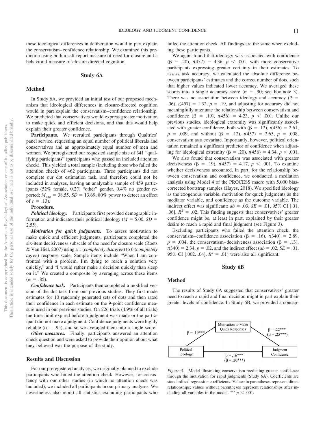these ideological differences in deliberation would in part explain the conservatism– confidence relationship. We examined this prediction using both a self-report measure of need for closure and a behavioral measure of closure-directed cognition.

#### **Study 6A**

#### **Method**

In Study 6A, we provided an initial test of our proposed mechanism that ideological differences in closure-directed cognition would in part explain the conservatism– confidence relationship. We predicted that conservatives would express greater motivation to make quick and efficient decisions, and that this would help explain their greater confidence.

Participants. We recruited participants through Qualtrics' panel service, requesting an equal number of political liberals and conservatives and an approximately equal number of men and women. We preregistered our requested sample size of 341 "qualifying participants" (participants who passed an included attention check). This yielded a total sample (including those who failed the attention check) of 462 participants. Three participants did not complete our dot estimation task, and therefore could not be included in analyses, leaving an analyzable sample of 459 participants (52% female, 0.2% "other" gender, 0.4% no gender reported;  $M_{\text{age}} = 38.55$ ,  $SD = 13.69$ ; 80% power to detect an effect of  $r = .13$ ).

#### **Procedure.**

*Political ideology.* Participants first provided demographic information and indicated their political ideology ( $M = 5.00$ ,  $SD =$  $2.55$ ).

*Motivation for quick judgments.* To assess motivation to make quick and efficient judgments, participants completed the six-item decisiveness subscale of the need for closure scale (Roets & Van Hiel, 2007) usinga1(*completely disagree*) to 6 (*completely agree*) response scale. Sample items include "When I am confronted with a problem, I'm dying to reach a solution very quickly," and "I would rather make a decision quickly than sleep on it." We created a composite by averaging across these items  $(\alpha = .85)$ .

*Confidence task.* Participants then completed a modified version of the dot task from our previous studies. They first made estimates for 10 randomly generated sets of dots and then rated their confidence in each estimate on the 9-point confidence measure used in our previous studies. On 226 trials (4.9% of all trials) the time limit expired before a judgment was made or the participant did not make a judgment. Confidence judgments were highly reliable ( $\alpha = .95$ ), and so we averaged them into a single score.

*Other measures.* Finally, participants answered an attention check question and were asked to provide their opinion about what they believed was the purpose of the study.

#### **Results and Discussion**

For our preregistered analyses, we originally planned to exclude participants who failed the attention check. However, for consistency with our other studies (in which no attention check was included), we included all participants in our primary analyses. We nevertheless also report all statistics excluding participants who

failed the attention check. All findings are the same when excluding these participants.

We again found that ideology was associated with confidence  $(\beta = .20), t(457) = 4.36, p < .001$ , with more conservative participants expressing greater certainty in their estimates. To assess task accuracy, we calculated the absolute difference between participants' estimates and the correct number of dots, such that higher values indicated lower accuracy. We averaged these scores into a single accuracy score ( $\alpha = .90$ ; see Footnote 3). There was no association between ideology and accuracy ( $\beta$  =  $(0.06)$ ,  $t(457) = 1.32$ ,  $p = .19$ , and adjusting for accuracy did not meaningfully attenuate the relationship between conservatism and confidence  $(\beta = .19)$ ,  $t(456) = 4.23$ ,  $p < .001$ . Unlike our previous studies, ideological extremity was significantly associated with greater confidence, both with  $(\beta = .12)$ ,  $t(456) = 2.61$ ,  $p = .009$ , and without ( $\beta = .12$ ),  $t(457) = 2.65$ ,  $p = .008$ , conservatism as a covariate. Importantly, however, political orientation remained a significant predictor of confidence when adjusting for ideological extremity ( $\beta = .20$ ),  $t(456) = 4.34$ ,  $p < .001$ .

We also found that conservatism was associated with greater decisiveness ( $\beta$  = .19),  $t(457)$  = 4.17,  $p < .001$ . To examine whether decisiveness accounted, in part, for the relationship between conservatism and confidence, we conducted a mediation analysis using Model 4 of the PROCESS macro with 5,000 biascorrected bootstrap samples (Hayes, 2018). We specified ideology as the exogenous variable, motivation for quick judgments as the mediator variable, and confidence as the outcome variable. The indirect effect was significant:  $ab = .03$ ,  $SE = .01$ , 95% CI [.01, .06],  $R^2 = 0.02$ . This finding suggests that conservatives' greater confidence might be, at least in part, explained by their greater desire to reach a rapid and final judgment (see [Figure 3\)](#page-11-0).

Excluding participants who failed the attention check, the conservatism–confidence association ( $\beta$  = .16),  $t(340)$  = 2.89,  $p = .004$ , the conservatism–decisiveness association ( $\beta = .13$ ),  $t(340) = 2.34, p = .02$ , and the indirect effect (*ab* = .02, *SE* = .01, 95% CI [.002, .04],  $R^2 = .01$ ) were also all significant.

#### **Study 6B**

#### **Method**

The results of Study 6A suggested that conservatives' greater need to reach a rapid and final decision might in part explain their greater levels of confidence. In Study 6B, we provided a concep-



<span id="page-11-0"></span>*Figure 3.* Model illustrating conservatism predicting greater confidence through the motivation for rapid judgments (Study 6A). Coefficients are standardized regression coefficients. Values in parentheses represent direct relationships; values without parentheses represent relationships after including all variables in the model. \*\*\*  $p < .001$ .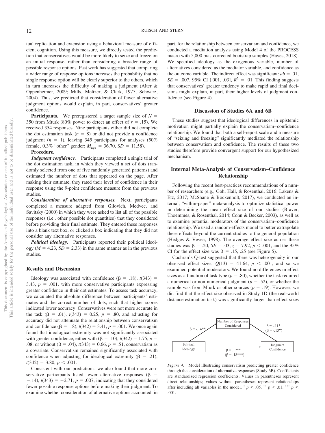tual replication and extension using a behavioral measure of efficient cognition. Using this measure, we directly tested the prediction that conservatives would be more likely to seize and freeze on an initial response, rather than considering a broader range of possible response options. Past work has suggested that comparing a wider range of response options increases the probability that no single response option will be clearly superior to the others, which in turn increases the difficulty of making a judgment (Alter  $\&$ Oppenheimer, 2009; Mills, Meltzer, & Clark, 1977; Schwarz, 2004). Thus, we predicted that consideration of fewer alternative judgment options would explain, in part, conservatives' greater confidence.

**Participants.** We preregistered a target sample size of  $N =$ 350 from Mturk (80% power to detect an effect of  $r = .15$ ). We received 354 responses. Nine participants either did not complete the dot estimation task  $(n = 8)$  or did not provide a confidence judgment  $(n = 1)$ , leaving 345 participants for analyses  $(50\%)$ female,  $0.3\%$  "other" gender;  $M_{\text{age}} = 36.70$ ,  $SD = 11.58$ ).

#### **Procedure.**

*Judgment confidence.* Participants completed a single trial of the dot estimation task, in which they viewed a set of dots (randomly selected from one of five randomly generated patterns) and estimated the number of dots that appeared on the page. After making their estimate, they rated their level of confidence in their response using the 9-point confidence measure from the previous studies.

*Consideration of alternative responses.* Next, participants completed a measure adapted from Gilovich, Medvec, and Savitsky (2000) in which they were asked to list all of the possible responses (i.e., other possible dot quantities) that they considered before providing their final estimate. They entered these responses into a blank text box, or clicked a box indicating that they did not consider any alternative responses.

*Political ideology.* Participants reported their political ideology ( $M = 4.23$ ,  $SD = 2.33$ ) in the same manner as in the previous studies.

#### **Results and Discussion**

Ideology was associated with confidence  $(\beta = .18)$ ,  $t(343) =$ 3.43,  $p = .001$ , with more conservative participants expressing greater confidence in their dot estimates. To assess task accuracy, we calculated the absolute difference between participants' estimates and the correct number of dots, such that higher scores indicated lower accuracy. Conservatives were not more accurate in the task  $(\beta = .01)$ ,  $t(343) = 0.25$ ,  $p = .80$ , and adjusting for accuracy did not attenuate the relationship between conservatism and confidence  $(\beta = .18)$ ,  $t(342) = 3.41$ ,  $p = .001$ . We once again found that ideological extremity was not significantly associated with greater confidence, either with  $(\beta = .10)$ ,  $t(342) = 1.75$ ,  $p =$ .08, or without  $(\beta = .04)$ ,  $t(343) = 0.66$ ,  $p = .51$ , conservatism as a covariate. Conservatism remained significantly associated with confidence when adjusting for ideological extremity ( $\beta = .21$ ),  $t(342) = 3.80, p < .001.$ 

Consistent with our predictions, we also found that more conservative participants listed fewer alternative responses ( $\beta$  =  $-1.14$ ,  $t(343) = -2.71$ ,  $p = 0.007$ , indicating that they considered fewer possible response options before making their judgment. To examine whether consideration of alternative options accounted, in part, for the relationship between conservatism and confidence, we conducted a mediation analysis using Model 4 of the PROCESS macro with 5,000 bias-corrected bootstrap samples (Hayes, 2018). We specified ideology as the exogenous variable, number of alternatives considered as the mediator variable, and confidence as the outcome variable. The indirect effect was significant:  $ab = .01$ ,  $SE = .007, 95\% \text{ CI}$  [.001, .03],  $R^2 = .01$ . This finding suggests that conservatives' greater tendency to make rapid and final decisions might explain, in part, their higher levels of judgment confidence (see Figure 4).

#### **Discussion of Studies 6A and 6B**

These studies suggest that ideological differences in epistemic motivation might partially explain the conservatism– confidence relationship. We found that both a self-report scale and a measure of "seizing and freezing" significantly mediated the relationship between conservatism and confidence. The results of these two studies therefore provide convergent support for our hypothesized mechanism.

## **Internal Meta-Analysis of Conservatism–Confidence Relationship**

Following the recent best-practices recommendations of a number of researchers (e.g., Goh, Hall, & Rosenthal, 2016; Lakens & Etz, 2017; McShane & Böckenholt, 2017), we conducted an internal, "within-paper" meta-analysis to optimize statistical power in determining the mean effect size of our studies [\(Braver,](#page-16-7) [Thoemmes, & Rosenthal, 2014;](#page-16-7) Cohn & Becker, 2003), as well as to examine potential moderators of the conservatism– confidence relationship. We used a random-effects model to better extrapolate these effects beyond the current studies to the general population (Hedges & Vevea, 1998). The average effect size across these studies was  $\beta = .20$ ,  $SE = .03$ ,  $z = 7.92$ ,  $p < .001$ , and the 95% CI for the effect size was  $\beta = .15, .25$  (see Figure 5).

Cochran's Q-test suggested that there was heterogeneity in our observed effect sizes,  $Q(13) = 41.64$ ,  $p < .001$ , and so we examined potential moderators. We found no differences in effect sizes as a function of task type  $(p = .80)$ , whether the task required a numerical or non-numerical judgment ( $p = .52$ ), or whether the sample was from Mturk or other sources  $(p = .19)$ . However, we did find that the effect size observed in Study 1D (the real-world distance estimation task) was significantly larger than effect sizes



*Figure 4.* Model illustrating conservatism predicting greater confidence through the consideration of alternative responses (Study 6B). Coefficients are standardized regression coefficients. Values in parentheses represent direct relationships; values without parentheses represent relationships after including all variables in the model.  $p < .05$ .  $p < .01$ .  $p < .01$ . .001.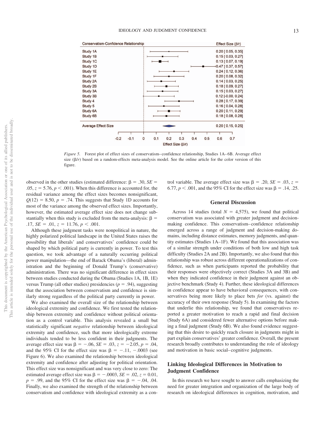

*Figure 5.* Forest plot of effect sizes of conservatism–confidence relationship, Studies 1A–6B. Average effect size  $(\beta/r)$  based on a random-effects meta-analysis model. See the online article for the color version of this figure.

observed in the other studies (estimated difference:  $\beta = .30$ , *SE* =  $.05, z = 5.76, p < .001$ ). When this difference is accounted for, the residual variance among the effect sizes becomes nonsignificant,  $Q(12) = 8.50, p = .74$ . This suggests that Study 1D accounts for most of the variance among the observed effect sizes. Importantly, however, the estimated average effect size does not change substantially when this study is excluded from the meta-analysis:  $\beta =$  $.17, SE = .01, z = 11.76, p < .001.$ 

Although these judgment tasks were nonpolitical in nature, the highly polarized political landscape in the United States raises the possibility that liberals' and conservatives' confidence could be shaped by which political party is currently in power. To test this question, we took advantage of a naturally occurring political power manipulation—the end of Barack Obama's (liberal) administration and the beginning of Donald Trump's (conservative) administration. There was no significant difference in effect sizes between studies conducted during the Obama (Studies 1A, 1B, 1E) versus Trump (all other studies) presidencies ( $p = .94$ ), suggesting that the association between conservatism and confidence is similarly strong regardless of the political party currently in power.

We also examined the overall size of the relationship between ideological extremity and confidence. We first tested the relationship between extremity and confidence without political orientation as a control variable. This analysis revealed a small but statistically significant *negative* relationship between ideological extremity and confidence, such that more ideologically extreme individuals tended to be less confident in their judgments. The average effect size was  $\beta = -.06$ ,  $SE = .03$ ,  $z = -2.05$ ,  $p = .04$ , and the 95% CI for the effect size was  $\beta = -.11, -.0003$  (see [Figure 6\)](#page-14-0). We also examined the relationship between ideological extremity and confidence after adjusting for political orientation. This effect size was nonsignificant and was very close to zero: The estimated average effect size was  $\beta = -.0003$ ,  $SE = .02$ ,  $z = 0.01$ ,  $p = .99$ , and the 95% CI for the effect size was  $\beta = -.04, .04$ . Finally, we also examined the strength of the relationship between conservatism and confidence with ideological extremity as a control variable. The average effect size was  $\beta = .20$ ,  $SE = .03$ ,  $z =$ 6.77,  $p < .001$ , and the 95% CI for the effect size was  $\beta = .14, .25$ .

## **General Discussion**

Across 14 studies (total  $N = 4,575$ ), we found that political conservatism was associated with greater judgment and decisionmaking confidence. This conservatism– confidence relationship emerged across a range of judgment and decision-making domains, including distance estimates, memory judgments, and quantity estimates (Studies 1A–1F). We found that this association was of a similar strength under conditions of both low and high task difficulty (Studies 2A and 2B). Importantly, we also found that this relationship was robust across different operationalizations of confidence, such as when participants reported the probability that their responses were objectively correct (Studies 3A and 3B) and when they indicated confidence in their judgment against an objective benchmark (Study 4). Further, these ideological differences in confidence appear to have behavioral consequences, with conservatives being more likely to place bets *for* (vs. against) the accuracy of their own response (Study 5). In examining the factors that underlie this relationship, we found that conservatives reported a greater motivation to reach a rapid and final decision (Study 6A) and considered fewer alternative options before making a final judgment (Study 6B). We also found evidence suggesting that this desire to quickly reach closure in judgments might in part explain conservatives' greater confidence. Overall, the present research broadly contributes to understanding the role of ideology and motivation in basic social– cognitive judgments.

## **Linking Ideological Differences in Motivation to Judgment Confidence**

In this research we have sought to answer calls emphasizing the need for greater integration and organization of the large body of research on ideological differences in cognition, motivation, and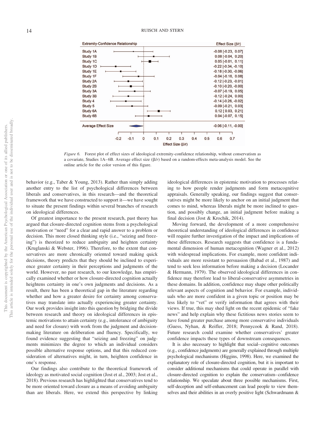

<span id="page-14-0"></span>*Figure 6.* Forest plot of effect sizes of ideological extremity-confidence relationship, without conservatism as a covariate, Studies 1A–6B. Average effect size  $(\beta/r)$  based on a random-effects meta-analysis model. See the online article for the color version of this figure.

behavior (e.g., Taber & Young, 2013). Rather than simply adding another entry to the list of psychological differences between liberals and conservatives, in this research—and the theoretical framework that we have constructed to support it—we have sought to situate the present findings within several branches of research on ideological differences.

Of greatest importance to the present research, past theory has argued that closure-directed cognition stems from a psychological motivation or "need" for a clear and rapid answer to a problem or decision. This more closed thinking style (i.e., "seizing and freezing") is theorized to reduce ambiguity and heighten certainty (Kruglanski & Webster, 1996). Therefore, to the extent that conservatives are more chronically oriented toward making quick decisions, theory predicts that they should be inclined to experience greater certainty in their perceptions and judgments of the world. However, no past research, to our knowledge, has empirically examined whether or how closure-directed cognition actually heightens certainty in one's own judgments and decisions. As a result, there has been a theoretical gap in the literature regarding whether and how a greater desire for certainty among conservatives may translate into actually experiencing greater certainty. Our work provides insight into this question by bridging the divide between research and theory on ideological differences in epistemic motivations to attain certainty (e.g., intolerance of ambiguity and need for closure) with work from the judgment and decisionmaking literature on deliberation and fluency. Specifically, we found evidence suggesting that "seizing and freezing" on judgments minimizes the degree to which an individual considers possible alternative response options, and that this reduced consideration of alternatives might, in turn, heighten confidence in one's response.

Our findings also contribute to the theoretical framework of ideology as motivated social cognition (Jost et al., 2003; Jost et al., 2018). Previous research has highlighted that conservatives tend to be more oriented toward closure as a means of avoiding ambiguity than are liberals. Here, we extend this perspective by linking

ideological differences in epistemic motivation to processes relating to how people render judgments and form metacognitive appraisals. Generally speaking, our findings suggest that conservatives might be more likely to anchor on an initial judgment that comes to mind, whereas liberals might be more inclined to question, and possibly change, an initial judgment before making a final decision (Jost & Krochik, 2014).

Moving forward, the development of a more comprehensive theoretical understanding of ideological differences in confidence will require further investigation of the impact and implications of these differences. Research suggests that confidence is a fundamental dimension of human metacognition (Wagner et al., 2012) with widespread implications. For example, more confident individuals are more resistant to persuasion [\(Babad et al., 1987\)](#page-16-0) and tend to seek less information before making a decision (Locander & Hermann, 1979). The observed ideological differences in confidence may therefore lead to liberal-conservative asymmetries in these domains. In addition, confidence may shape other politically relevant aspects of cognition and behavior. For example, individuals who are more confident in a given topic or position may be less likely to "vet" or verify information that agrees with their views. If true, this may shed light on the recent epidemic of "fake news" and help explain why these fictitious news stories seem to have found greater purchase among more conservative individuals (Guess, Nyhan, & Reifler, 2018; Pennycook & Rand, 2018). Future research could examine whether conservatives' greater confidence impacts these types of downstream consequences.

It is also necessary to highlight that social–cognitive outcomes (e.g., confidence judgments) are generally explained through multiple psychological mechanisms (Higgins, 1998). Here, we examined the explanatory role of closure-directed cognition, but it is important to consider additional mechanisms that could operate in parallel with closure-directed cognition to explain the conservatism–confidence relationship. We speculate about three possible mechanisms. First, self-deception and self-enhancement can lead people to view themselves and their abilities in an overly positive light (Schwardmann &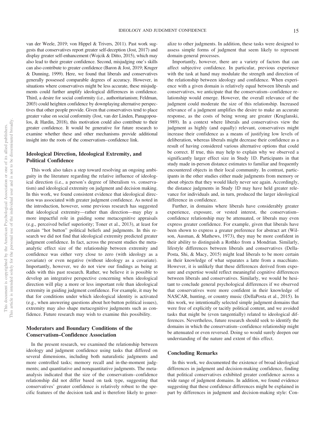van der Weele, 2019; von Hippel & Trivers, 2011). Past work suggests that conservatives report greater self-deception (Jost, 2017) and display greater self-enhancement (Wojcik & Ditto, 2015), which may also lead to their greater confidence. Second, misjudging one's skills can also contribute to greater confidence (Baron & Jost, 2019; Kruger & Dunning, 1999). Here, we found that liberals and conservatives generally possessed comparable degrees of accuracy. However, in situations where conservatives might be less accurate, these misjudgments could further amplify ideological differences in confidence. Third, a desire for social conformity (i.e., authoritarianism; Feldman, 2003) could heighten confidence by downplaying alternative perspectives that other people provide. Given that conservatives tend to place greater value on social conformity (Jost, van der Linden, Panagopoulos, & Hardin, 2018), this motivation could also contribute to their greater confidence. It would be generative for future research to examine whether these and other mechanisms provide additional insight into the roots of the conservatism–confidence link.

## **Ideological Direction, Ideological Extremity, and Political Confidence**

This work also takes a step toward resolving an ongoing ambiguity in the literature regarding the relative influence of ideological direction (i.e., a person's degree of liberalism vs. conservatism) and ideological extremity on judgment and decision making. In this work, we found consistent evidence that ideological direction was associated with greater judgment confidence. As noted in the introduction, however, some previous research has suggested that ideological extremity—rather than direction—may play a more impactful role in guiding some metacognitive appraisals (e.g., perceived belief superiority; Toner et al., 2013), at least for certain "hot button" political beliefs and judgments. In this research we did not find that ideological extremity predicted greater judgment confidence. In fact, across the present studies the metaanalytic effect size of the relationship between extremity and confidence was either very close to zero (with ideology as a covariate) or even negative (without ideology as a covariate). Importantly, however, we do not view our findings as being at odds with this past research. Rather, we believe it is possible to develop an integrative perspective concerning when ideological direction will play a more or less important role than ideological extremity in guiding judgment confidence. For example, it may be that for conditions under which ideological identity is activated (e.g., when answering questions about hot-button political issues), extremity may also shape metacognitive judgments such as confidence. Future research may wish to examine this possibility.

## **Moderators and Boundary Conditions of the Conservatism–Confidence Association**

In the present research, we examined the relationship between ideology and judgment confidence using tasks that differed on several dimensions, including both naturalistic judgments and more controlled tasks; memory recall and in-the-moment judgments; and quantitative and nonquantitative judgments. The metaanalysis indicated that the size of the conservatism– confidence relationship did not differ based on task type, suggesting that conservatives' greater confidence is relatively robust to the specific features of the decision task and is therefore likely to gener-

alize to other judgments. In addition, these tasks were designed to assess simple forms of judgment that seem likely to represent domain-general processes.

Importantly, however, there are a variety of factors that can affect subjective confidence. In particular, previous experience with the task at hand may modulate the strength and direction of the relationship between ideology and confidence. When experience with a given domain is relatively equal between liberals and conservatives, we anticipate that the conservatism– confidence relationship would emerge. However, the overall relevance of the judgment could moderate the size of this relationship. Increased relevance of a judgment amplifies the desire to make an accurate response, as the costs of being wrong are greater (Kruglanski, 1989). In a context where liberals and conservatives view the judgment as highly (and equally) relevant, conservatives might increase their confidence as a means of justifying low levels of deliberation, whereas liberals might decrease their confidence as a result of having considered various alternative options that could be correct. If true, this may help to explain why we observed a significantly larger effect size in Study 1D. Participants in that study made in-person distance estimates to familiar and frequently encountered objects in their local community. In contrast, participants in the other studies either made judgments from memory or about objects that they would likely never see again. Accordingly, the distance judgments in Study 1D may have held greater relevance for individuals and, in turn, produced the larger ideological difference in confidence.

Further, in domains where liberals have considerably greater experience, exposure, or vested interest, the conservatism– confidence relationship may be attenuated, or liberals may even express greater confidence. For example, given that liberals have been shown to express a greater preference for abstract art (Wilson, Ausman, & Mathews, 1973), they may be more confident in their ability to distinguish a Rothko from a Mondrian. Similarly, lifestyle differences between liberals and conservatives (Della-Posta, Shi, & Macy, 2015) might lead liberals to be more certain in their knowledge of what separates a latte from a macchiato. However, it is unlikely that these differences derived from exposure and expertise would reflect meaningful cognitive differences between liberals and conservatives. Similarly, we would be hesitant to conclude general psychological differences if we observed that conservatives were more confident in their knowledge of NASCAR, hunting, or country music (DellaPosta et al., 2015). In this work, we intentionally selected simple judgment domains that were free of explicitly or tacitly political content, and we avoided tasks that might be (even tangentially) related to ideological differences. Nevertheless, future research should seek to identify the domains in which the conservatism– confidence relationship might be attenuated or even reversed. Doing so would surely deepen our understanding of the nature and extent of this effect.

#### **Concluding Remarks**

In this work, we documented the existence of broad ideological differences in judgment and decision-making confidence, finding that political conservatives exhibited greater confidence across a wide range of judgment domains. In addition, we found evidence suggesting that these confidence differences might be explained in part by differences in judgment and decision-making style: Con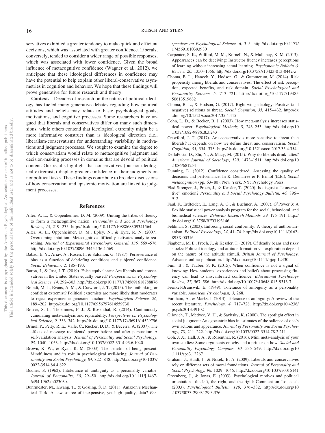servatives exhibited a greater tendency to make quick and efficient decisions, which was associated with greater confidence. Liberals, conversely, tended to consider a wider range of possible responses, which was associated with lower confidence. Given the broad influence of metacognitive confidence (Wagner et al., 2012), we anticipate that these ideological differences in confidence may have the potential to help explain other liberal-conservative asymmetries in cognition and behavior. We hope that these findings will prove generative for future research and theory.

**Context.** Decades of research on the nature of political ideology has fueled many generative debates regarding how political attitudes and beliefs may relate to basic psychological goals, motivations, and cognitive processes. Some researchers have argued that liberals and conservatives differ on many such dimensions, while others contend that ideological extremity might be a more informative construct than is ideological direction (i.e., liberalism-conservatism) for understanding variability in motivations and judgment processes. We sought to examine the degree to which conservatism would relate to metacognitive judgment and decision-making processes in domains that are devoid of political content. Our results highlight that conservatives (but not ideological extremists) display greater confidence in their judgments on nonpolitical tasks. These findings contribute to broader discussions of how conservatism and epistemic motivation are linked to judgment processes.

#### **References**

- Alter, A. L., & Oppenheimer, D. M. (2009). Uniting the tribes of fluency to form a metacognitive nation. *Personality and Social Psychology Review, 13,* 219 –235.<http://dx.doi.org/10.1177/1088868309341564>
- <span id="page-16-3"></span>Alter, A. L., Oppenheimer, D. M., Epley, N., & Eyre, R. N. (2007). Overcoming intuition: Metacognitive difficulty activates analytic reasoning. *Journal of Experimental Psychology: General, 136,* 569 –576. <http://dx.doi.org/10.1037/0096-3445.136.4.569>
- <span id="page-16-0"></span>Babad, E. Y., Ariav, A., Rosen, I., & Salomon, G. (1987). Perseverance of bias as a function of debriefing conditions and subjects' confidence. *Social Behaviour, 2,* 185–193.
- Baron, J., & Jost, J. T. (2019). False equivalence: Are liberals and conservatives in the United States equally biased? *Perspectives on Psychological Science, 14,* 292–303.<http://dx.doi.org/10.1177/1745691618788876>
- Brandt, M. J., Evans, A. M., & Crawford, J. T. (2015). The unthinking or confident extremist? Political extremists are more likely than moderates to reject experimenter-generated anchors. *Psychological Science, 26,* 189 –202.<http://dx.doi.org/10.1177/0956797614559730>
- <span id="page-16-7"></span>Braver, S. L., Thoemmes, F. J., & Rosenthal, R. (2014). Continuously cumulating meta-analysis and replicability. *Perspectives on Psychological Science, 9,* 333–342.<http://dx.doi.org/10.1177/1745691614529796>
- <span id="page-16-6"></span>Briñol, P., Petty, R. E., Valle, C., Rucker, D. D., & Becerra, A. (2007). The effects of message recipients' power before and after persuasion: A self-validation analysis. *Journal of Personality and Social Psychology, 93,* 1040 –1053.<http://dx.doi.org/10.1037/0022-3514.93.6.1040>
- <span id="page-16-5"></span>Brown, K. W., & Ryan, R. M. (2003). The benefits of being present: Mindfulness and its role in psychological well-being. *Journal of Personality and Social Psychology, 84,* 822– 848. [http://dx.doi.org/10.1037/](http://dx.doi.org/10.1037/0022-3514.84.4.822) [0022-3514.84.4.822](http://dx.doi.org/10.1037/0022-3514.84.4.822)
- <span id="page-16-2"></span>Budner, S. (1962). Intolerance of ambiguity as a personality variable. *Journal of Personality, 30,* 29 –50. [http://dx.doi.org/10.1111/j.1467-](http://dx.doi.org/10.1111/j.1467-6494.1962.tb02303.x) [6494.1962.tb02303.x](http://dx.doi.org/10.1111/j.1467-6494.1962.tb02303.x)
- Buhrmester, M., Kwang, T., & Gosling, S. D. (2011). Amazon's Mechanical Turk: A new source of inexpensive, yet high-quality, data? *Per-*

*spectives on Psychological Science, 6,* 3–5. [http://dx.doi.org/10.1177/](http://dx.doi.org/10.1177/1745691610393980) [1745691610393980](http://dx.doi.org/10.1177/1745691610393980)

- Carpenter, S. K., Wilford, M. M., Kornell, N., & Mullaney, K. M. (2013). Appearances can be deceiving: Instructor fluency increases perceptions of learning without increasing actual learning. *Psychonomic Bulletin & Review, 20,* 1350 –1356.<http://dx.doi.org/10.3758/s13423-013-0442-z>
- Choma, B. L., Hanoch, Y., Hodson, G., & Gummerum, M. (2014). Risk propensity among liberals and conservatives: The effect of risk perception, expected benefits, and risk domain. *Social Psychological and Personality Science, 5,* 713–721. [http://dx.doi.org/10.1177/19485](http://dx.doi.org/10.1177/1948550613519682) [50613519682](http://dx.doi.org/10.1177/1948550613519682)
- Choma, B. L., & Hodson, G. (2017). Right-wing ideology: Positive (and negative) relations to threat. *Social Cognition, 35,* 415– 432. [http://dx](http://dx.doi.org/10.1521/soco.2017.35.4.415) [.doi.org/10.1521/soco.2017.35.4.415](http://dx.doi.org/10.1521/soco.2017.35.4.415)
- Cohn, L. D., & Becker, B. J. (2003). How meta-analysis increases statistical power. *Psychological Methods, 8,* 243–253. [http://dx.doi.org/10](http://dx.doi.org/10.1037/1082-989X.8.3.243) [.1037/1082-989X.8.3.243](http://dx.doi.org/10.1037/1082-989X.8.3.243)
- Crawford, J. T. (2017). Are conservatives more sensitive to threat than liberals? It depends on how we define threat and conservatism. *Social Cognition, 35,* 354 –373.<http://dx.doi.org/10.1521/soco.2017.35.4.354>
- DellaPosta, D., Shi, Y., & Macy, M. (2015). Why do liberals drink lattes? *American Journal of Sociology, 120,* 1473–1511. [http://dx.doi.org/10](http://dx.doi.org/10.1086/681254) [.1086/681254](http://dx.doi.org/10.1086/681254)
- Dunning, D. (2012). Confidence considered: Assessing the quality of decisions and performance. In K. Demarree & P. Brinol (Eds.), *Social metacognition* (pp. 63–80). New York, NY: Psychology Press.
- <span id="page-16-1"></span>Elad-Strenger, J., Proch, J., & Kessler, T. (2020). Is disgust a "conservative" emotion? *Personality and Social Psychology Bulletin, 46,* 896 – 912.
- <span id="page-16-4"></span>Faul, F., Erdfelder, E., Lang, A. G., & Buchner, A. (2007). G<sup>\*</sup>Power 3: A flexible statistical power analysis program for the social, behavioral, and biomedical sciences. *Behavior Research Methods, 39,* 175–191. [http://](http://dx.doi.org/10.3758/BF03193146) [dx.doi.org/10.3758/BF03193146](http://dx.doi.org/10.3758/BF03193146)
- Feldman, S. (2003). Enforcing social conformity: A theory of authoritarianism. *Political Psychology, 24,* 41–74. [http://dx.doi.org/10.1111/0162-](http://dx.doi.org/10.1111/0162-895X.00316) [895X.00316](http://dx.doi.org/10.1111/0162-895X.00316)
- Fiagbenu, M. E., Proch, J., & Kessler, T. (2019). Of deadly beans and risky stocks: Political ideology and attitude formation via exploration depend on the nature of the attitude stimuli. *British Journal of Psychology*. Advance online publication.<http://dx.doi.org/10.1111/bjop.12430>
- Finn, B., & Tauber, S. K. (2015). When confidence is not a signal of knowing: How students' experiences and beliefs about processing fluency can lead to miscalibrated confidence. *Educational Psychology Review, 27,* 567–586.<http://dx.doi.org/10.1007/s10648-015-9313-7>
- Frenkel-Brunswik, E. (1949). Tolerance of ambiguity as a personality variable. *American Psychologist, 3,* 268.
- Furnham, A., & Marks, J. (2013). Tolerance of ambiguity: A review of the recent literature. *Psychology, 4,* 717–728. [http://dx.doi.org/10.4236/](http://dx.doi.org/10.4236/psych.2013.49102) [psych.2013.49102](http://dx.doi.org/10.4236/psych.2013.49102)
- Gilovich, T., Medvec, V. H., & Savitsky, K. (2000). The spotlight effect in social judgment: An egocentric bias in estimates of the salience of one's own actions and appearance. *Journal of Personality and Social Psychology, 78,* 211–222.<http://dx.doi.org/10.1037/0022-3514.78.2.211>
- Goh, J. X., Hall, J. A., & Rosenthal, R. (2016). Mini meta-analysis of your own studies: Some arguments on why and a primer on how. *Social and Personality Psychology Compass, 10,* 535–549. [http://dx.doi.org/10](http://dx.doi.org/10.1111/spc3.12267) [.1111/spc3.12267](http://dx.doi.org/10.1111/spc3.12267)
- Graham, J., Haidt, J., & Nosek, B. A. (2009). Liberals and conservatives rely on different sets of moral foundations. *Journal of Personality and Social Psychology, 96,* 1029 –1046.<http://dx.doi.org/10.1037/a0015141>
- Greenberg, J., & Jonas, E. (2003). Psychological motives and political orientation—the left, the right, and the rigid: Comment on Jost et al. (2003). *Psychological Bulletin, 129,* 376 –382. [http://dx.doi.org/10](http://dx.doi.org/10.1037/0033-2909.129.3.376) [.1037/0033-2909.129.3.376](http://dx.doi.org/10.1037/0033-2909.129.3.376)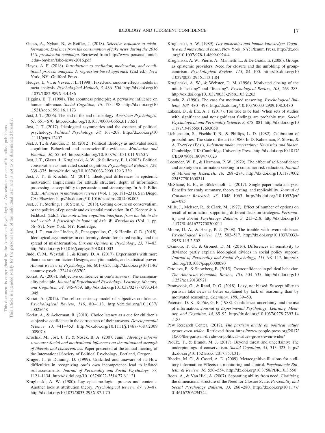- Guess, A., Nyhan, B., & Reifler, J. (2018). *Selective exposure to misinformation: Evidence from the consumption of fake news during the 2016 U.S. presidential campaign*. Retrieved from [http://www-personal.umich](http://www-personal.umich.edu/%7Ebnyhan/fake-news-2016.pdf) [.edu/~bnyhan/fake-news-2016.pdf](http://www-personal.umich.edu/%7Ebnyhan/fake-news-2016.pdf)
- Hayes, A. F. (2018). *Introduction to mediation, moderation, and conditional process analysis: A regression-based approach* (2nd ed.). New York, NY: Guilford Press.
- Hedges, L. V., & Vevea, J. L. (1998). Fixed-and random-effects models in meta-analysis. *Psychological Methods, 3,* 486 –504. [http://dx.doi.org/10](http://dx.doi.org/10.1037/1082-989X.3.4.486) [.1037/1082-989X.3.4.486](http://dx.doi.org/10.1037/1082-989X.3.4.486)
- Higgins, E. T. (1998). The aboutness principle: A pervasive influence on human inference. *Social Cognition, 16,* 173–198. [http://dx.doi.org/10](http://dx.doi.org/10.1521/soco.1998.16.1.173) [.1521/soco.1998.16.1.173](http://dx.doi.org/10.1521/soco.1998.16.1.173)
- Jost, J. T. (2006). The end of the end of ideology. *American Psychologist, 61,* 651– 670.<http://dx.doi.org/10.1037/0003-066X.61.7.651>
- Jost, J. T. (2017). Ideological asymmetries and the essence of political psychology. *Political Psychology, 38,* 167–208. [http://dx.doi.org/10](http://dx.doi.org/10.1111/pops.12407) [.1111/pops.12407](http://dx.doi.org/10.1111/pops.12407)
- Jost, J. T., & Amodio, D. M. (2012). Political ideology as motivated social cognition: Behavioral and neuroscientific evidence. *Motivation and Emotion, 36,* 55– 64.<http://dx.doi.org/10.1007/s11031-011-9260-7>
- Jost, J. T., Glaser, J., Kruglanski, A. W., & Sulloway, F. J. (2003). Political conservatism as motivated social cognition. *Psychological Bulletin, 129,* 339 –375.<http://dx.doi.org/10.1037/0033-2909.129.3.339>
- Jost, J. T., & Krochik, M. (2014). Ideological differences in epistemic motivation: Implications for attitude structure, depth of information processing, susceptibility to persuasion, and stereotyping. In A. J. Elliot (Ed.), *Advances in motivation science* (Vol. 1, pp. 181–231). San Diego, CA: Elsevier.<http://dx.doi.org/10.1016/bs.adms.2014.08.005>
- Jost, J. T., Sterling, J., & Stern, C. (2018). Getting closure on conservatism, or the politics of epistemic and existential motivation. In C. Kopetz & A. Fishbach (Eds.), *The motivation-cognition interface, from the lab to the real world: A festschrift in honor of Arie W. Kruglanski* (Vol. 1, pp. 56 – 87). New York, NY: Routledge.
- Jost, J. T., van der Linden, S., Panagopoulos, C., & Hardin, C. D. (2018). Ideological asymmetries in conformity, desire for shared reality, and the spread of misinformation. *Current Opinion in Psychology, 23,* 77– 83. <http://dx.doi.org/10.1016/j.copsyc.2018.01.003>
- Judd, C. M., Westfall, J., & Kenny, D. A. (2017). Experiments with more than one random factor: Designs, analytic models, and statistical power. *Annual Review of Psychology, 68,* 601– 625. [http://dx.doi.org/10.1146/](http://dx.doi.org/10.1146/annurev-psych-122414-033702) [annurev-psych-122414-033702](http://dx.doi.org/10.1146/annurev-psych-122414-033702)
- Koriat, A. (2008). Subjective confidence in one's answers: The consensuality principle. *Journal of Experimental Psychology: Learning, Memory, and Cognition, 34,* 945–959. [http://dx.doi.org/10.1037/0278-7393.34.4](http://dx.doi.org/10.1037/0278-7393.34.4.945) [.945](http://dx.doi.org/10.1037/0278-7393.34.4.945)
- Koriat, A. (2012). The self-consistency model of subjective confidence. *Psychological Review, 119,* 80 –113. [http://dx.doi.org/10.1037/](http://dx.doi.org/10.1037/a0025648) [a0025648](http://dx.doi.org/10.1037/a0025648)
- Koriat, A., & Ackerman, R. (2010). Choice latency as a cue for children's subjective confidence in the correctness of their answers. *Developmental Science, 13,* 441– 453. [http://dx.doi.org/10.1111/j.1467-7687.2009](http://dx.doi.org/10.1111/j.1467-7687.2009.00907.x) [.00907.x](http://dx.doi.org/10.1111/j.1467-7687.2009.00907.x)
- Krochik, M., Jost, J. T., & Nosek, B. A. (2007, June). *Ideology informs structure: Social and motivational influences on the attitudinal strength of liberals and conservatives*. Paper presented at the annual meeting of the International Society of Political Psychology, Portland, Oregon.
- Kruger, J., & Dunning, D. (1999). Unskilled and unaware of it: How difficulties in recognizing one's own incompetence lead to inflated self-assessments. *Journal of Personality and Social Psychology, 77,* 1121–1134.<http://dx.doi.org/10.1037/0022-3514.77.6.1121>
- Kruglanski, A. W. (1980). Lay epistemo-logic—process and contents: Another look at attribution theory. *Psychological Review, 87, 70-87*. <http://dx.doi.org/10.1037/0033-295X.87.1.70>
- Kruglanski, A. W. (1989). *Lay epistemics and human knowledge: Cognitive and motivational bases*. New York, NY: Plenum Press. [http://dx.doi](http://dx.doi.org/10.1007/978-1-4899-0924-4) [.org/10.1007/978-1-4899-0924-4](http://dx.doi.org/10.1007/978-1-4899-0924-4)
- Kruglanski, A. W., Pierro, A., Mannetti, L., & De Grada, E. (2006). Groups as epistemic providers: Need for closure and the unfolding of groupcentrism. *Psychological Review, 113,* 84 –100. [http://dx.doi.org/10](http://dx.doi.org/10.1037/0033-295X.113.1.84) [.1037/0033-295X.113.1.84](http://dx.doi.org/10.1037/0033-295X.113.1.84)
- Kruglanski, A. W., & Webster, D. M. (1996). Motivated closing of the mind: "seizing" and "freezing". *Psychological Review, 103,* 263–283. <http://dx.doi.org/10.1037/0033-295X.103.2.263>
- Kunda, Z. (1990). The case for motivated reasoning. *Psychological Bulletin, 108,* 480 – 498.<http://dx.doi.org/10.1037/0033-2909.108.3.480>
- Lakens, D., & Etz, A. J. (2017). Too true to be bad: When sets of studies with significant and nonsignificant findings are probably true. *Social Psychological and Personality Science, 8,* 875– 881. [http://dx.doi.org/10](http://dx.doi.org/10.1177/1948550617693058) [.1177/1948550617693058](http://dx.doi.org/10.1177/1948550617693058)
- Lichtenstein, S., Fischhoff, B., & Phillips, L. D. (1982). Calibration of probabilities: The state of the art to 1980. In D. Kahneman, P. Slovic, & A. Tversky (Eds.), *Judgment under uncertainty: Heuristics and biases*. Cambridge, UK: Cambridge University Press. [http://dx.doi.org/10.1017/](http://dx.doi.org/10.1017/CBO9780511809477.023) [CBO9780511809477.023](http://dx.doi.org/10.1017/CBO9780511809477.023)
- Locander, W. B., & Hermann, P. W. (1979). The effect of self-confidence and anxiety on information seeking in consumer risk reduction. *Journal of Marketing Research, 16,* 268 –274. [http://dx.doi.org/10.1177/002](http://dx.doi.org/10.1177/002224377901600211) [224377901600211](http://dx.doi.org/10.1177/002224377901600211)
- McShane, B. B., & Böckenholt, U. (2017). Single-paper meta-analysis: Benefits for study summary, theory testing, and replicability. *Journal of Consumer Research, 43,* 1048 –1063. [http://dx.doi.org/10.1093/jcr/](http://dx.doi.org/10.1093/jcr/ucw085) [ucw085](http://dx.doi.org/10.1093/jcr/ucw085)
- Mills, J., Meltzer, R., & Clark, M. (1977). Effect of number of options on recall of information supporting different decision strategies. *Personality and Social Psychology Bulletin, 3,* 213–218. [http://dx.doi.org/10](http://dx.doi.org/10.1177/014616727700300211) [.1177/014616727700300211](http://dx.doi.org/10.1177/014616727700300211)
- Moore, D. A., & Healy, P. J. (2008). The trouble with overconfidence. *Psychological Review, 115,* 502–517. [http://dx.doi.org/10.1037/0033-](http://dx.doi.org/10.1037/0033-295X.115.2.502) [295X.115.2.502](http://dx.doi.org/10.1037/0033-295X.115.2.502)
- Okimoto, T. G., & Gromet, D. M. (2016). Differences in sensitivity to deviance partly explain ideological divides in social policy support. *Journal of Personality and Social Psychology, 111,* 98 –117. [http://dx](http://dx.doi.org/10.1037/pspp0000080) [.doi.org/10.1037/pspp0000080](http://dx.doi.org/10.1037/pspp0000080)
- Ortoleva, P., & Snowberg, E. (2015). Overconfidence in political behavior. *The American Economic Review, 105,* 504 –535. [http://dx.doi.org/10](http://dx.doi.org/10.1257/aer.20130921) [.1257/aer.20130921](http://dx.doi.org/10.1257/aer.20130921)
- Pennycook, G., & Rand, D. G. (2018). Lazy, not biased: Susceptibility to partisan fake news is better explained by lack of reasoning than by motivated reasoning. *Cognition, 188,* 39 –50.
- Peterson, D. K., & Pitz, G. F. (1988). Confidence, uncertainty, and the use of information. *Journal of Experimental Psychology: Learning, Memory, and Cognition, 14,* 85–92. [http://dx.doi.org/10.1037/0278-7393.14](http://dx.doi.org/10.1037/0278-7393.14.1.85) [.1.85](http://dx.doi.org/10.1037/0278-7393.14.1.85)
- Pew Research Center. (2017). *The partisan divide on political values grows even wider*. Retrieved from [https://www.people-press.org/2017/](https://www.people-press.org/2017/10/05/the-partisan-divide-on-political-values-grows-even-wider/) [10/05/the-partisan-divide-on-political-values-grows-even-wider/](https://www.people-press.org/2017/10/05/the-partisan-divide-on-political-values-grows-even-wider/)
- Proulx, T., & Brandt, M. J. (2017). Beyond threat and uncertainty: The underpinnings of conservatism. *Social Cognition, 35,* 313–323. [http://](http://dx.doi.org/10.1521/soco.2017.35.4.313) [dx.doi.org/10.1521/soco.2017.35.4.313](http://dx.doi.org/10.1521/soco.2017.35.4.313)
- Rhodes, M. G., & Castel, A. D. (2009). Metacognitive illusions for auditory information: Effects on monitoring and control. *Psychonomic Bulletin & Review, 16,* 550 –554.<http://dx.doi.org/10.3758/PBR.16.3.550>
- Roets, A., & Van Hiel, A. (2007). Separating ability from need: Clarifying the dimensional structure of the Need for Closure Scale. *Personality and Social Psychology Bulletin, 33,* 266 –280. [http://dx.doi.org/10.1177/](http://dx.doi.org/10.1177/0146167206294744) [0146167206294744](http://dx.doi.org/10.1177/0146167206294744)